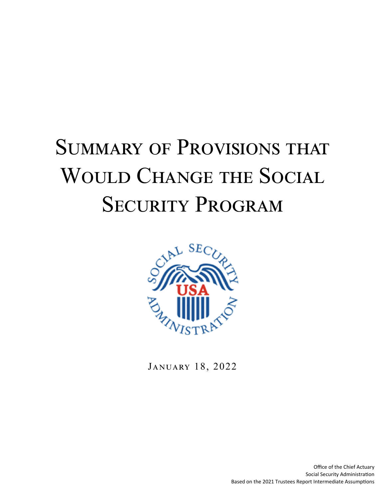# **SUMMARY OF PROVISIONS THAT** WOULD CHANGE THE SOCIAL SECURITY PROGRAM



JANUARY 18, 2022

Office of the Chief Actuary Social Security Administration Based on the 2021 Trustees Report Intermediate Assumptions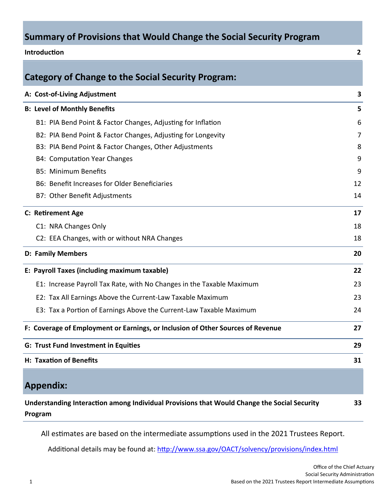# **Summary of Provisions that Would Change the Social Security Program**

| Introduction                                                                    | 2  |
|---------------------------------------------------------------------------------|----|
| <b>Category of Change to the Social Security Program:</b>                       |    |
| A: Cost-of-Living Adjustment                                                    | 3  |
| <b>B: Level of Monthly Benefits</b>                                             | 5  |
| B1: PIA Bend Point & Factor Changes, Adjusting for Inflation                    | 6  |
| B2: PIA Bend Point & Factor Changes, Adjusting for Longevity                    | 7  |
| B3: PIA Bend Point & Factor Changes, Other Adjustments                          | 8  |
| <b>B4: Computation Year Changes</b>                                             | 9  |
| <b>B5: Minimum Benefits</b>                                                     | 9  |
| B6: Benefit Increases for Older Beneficiaries                                   | 12 |
| B7: Other Benefit Adjustments                                                   | 14 |
| C: Retirement Age                                                               | 17 |
| C1: NRA Changes Only                                                            | 18 |
| C2: EEA Changes, with or without NRA Changes                                    | 18 |
| <b>D: Family Members</b>                                                        | 20 |
| E: Payroll Taxes (including maximum taxable)                                    | 22 |
| E1: Increase Payroll Tax Rate, with No Changes in the Taxable Maximum           | 23 |
| E2: Tax All Earnings Above the Current-Law Taxable Maximum                      | 23 |
| E3: Tax a Portion of Earnings Above the Current-Law Taxable Maximum             | 24 |
| F: Coverage of Employment or Earnings, or Inclusion of Other Sources of Revenue | 27 |
| <b>G: Trust Fund Investment in Equities</b>                                     | 29 |
| H: Taxation of Benefits                                                         | 31 |
| <b>Appendix:</b>                                                                |    |

**Understanding InteracƟon among Individual Provisions that Would Change the Social Security Program 33** 

All estimates are based on the intermediate assumptions used in the 2021 Trustees Report.

Additional details may be found at: http://www.ssa.gov/OACT/solvency/provisions/index.html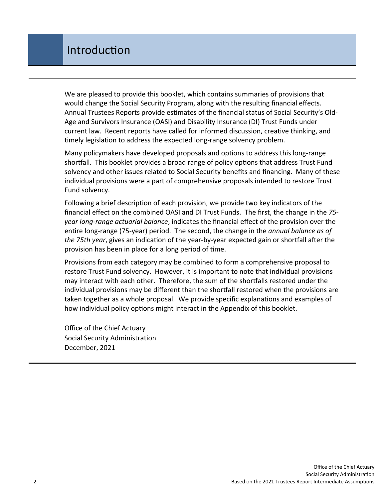We are pleased to provide this booklet, which contains summaries of provisions that would change the Social Security Program, along with the resulting financial effects. Annual Trustees Reports provide estimates of the financial status of Social Security's Old-Age and Survivors Insurance (OASI) and Disability Insurance (DI) Trust Funds under current law. Recent reports have called for informed discussion, creative thinking, and timely legislation to address the expected long-range solvency problem.

Many policymakers have developed proposals and options to address this long-range shortfall. This booklet provides a broad range of policy options that address Trust Fund solvency and other issues related to Social Security benefits and financing. Many of these individual provisions were a part of comprehensive proposals intended to restore Trust Fund solvency.

Following a brief description of each provision, we provide two key indicators of the financial effect on the combined OASI and DI Trust Funds. The first, the change in the *75 year long-range actuarial balance*, indicates the financial effect of the provision over the entire long-range (75-year) period. The second, the change in the *annual balance as of the 75th year*, gives an indication of the year-by-year expected gain or shortfall after the provision has been in place for a long period of time.

Provisions from each category may be combined to form a comprehensive proposal to restore Trust Fund solvency. However, it is important to note that individual provisions may interact with each other. Therefore, the sum of the shortfalls restored under the individual provisions may be different than the shortfall restored when the provisions are taken together as a whole proposal. We provide specific explanations and examples of how individual policy options might interact in the Appendix of this booklet.

Office of the Chief Actuary Social Security Administration December, 2021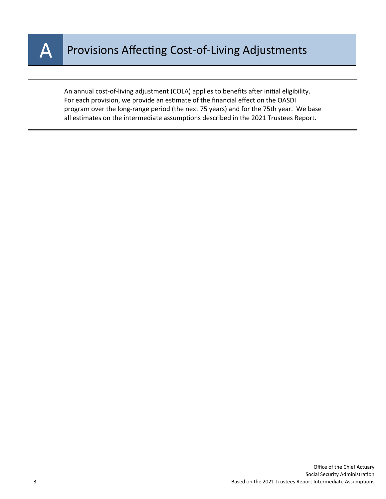

An annual cost-of-living adjustment (COLA) applies to benefits after initial eligibility. For each provision, we provide an estimate of the financial effect on the OASDI program over the long-range period (the next 75 years) and for the 75th year. We base all estimates on the intermediate assumptions described in the 2021 Trustees Report.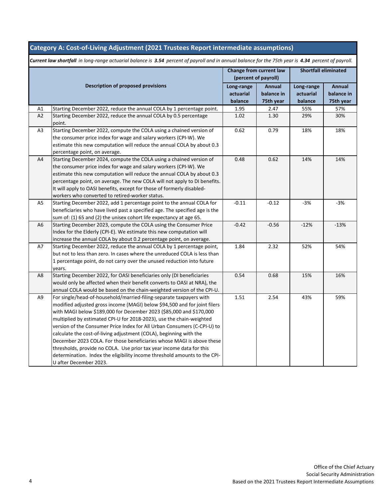### **Category A: Cost-of-Living Adjustment (2021 Trustees Report intermediate assumptions)**

|                |                                                                                  | Change from current law<br>(percent of payroll) |                                   | <b>Shortfall eliminated</b>        |                                   |
|----------------|----------------------------------------------------------------------------------|-------------------------------------------------|-----------------------------------|------------------------------------|-----------------------------------|
|                | <b>Description of proposed provisions</b>                                        | Long-range<br>actuarial<br>balance              | Annual<br>balance in<br>75th year | Long-range<br>actuarial<br>balance | Annual<br>balance in<br>75th year |
| A1             | Starting December 2022, reduce the annual COLA by 1 percentage point.            | 1.95                                            | 2.47                              | 55%                                | 57%                               |
| A2             | Starting December 2022, reduce the annual COLA by 0.5 percentage                 | 1.02                                            | 1.30                              | 29%                                | 30%                               |
|                | point.                                                                           |                                                 |                                   |                                    |                                   |
| A3             | Starting December 2022, compute the COLA using a chained version of              | 0.62                                            | 0.79                              | 18%                                | 18%                               |
|                | the consumer price index for wage and salary workers (CPI-W). We                 |                                                 |                                   |                                    |                                   |
|                | estimate this new computation will reduce the annual COLA by about 0.3           |                                                 |                                   |                                    |                                   |
|                | percentage point, on average.                                                    |                                                 |                                   |                                    |                                   |
| A4             | Starting December 2024, compute the COLA using a chained version of              | 0.48                                            | 0.62                              | 14%                                | 14%                               |
|                | the consumer price index for wage and salary workers (CPI-W). We                 |                                                 |                                   |                                    |                                   |
|                | estimate this new computation will reduce the annual COLA by about 0.3           |                                                 |                                   |                                    |                                   |
|                | percentage point, on average. The new COLA will not apply to DI benefits.        |                                                 |                                   |                                    |                                   |
|                | It will apply to OASI benefits, except for those of formerly disabled-           |                                                 |                                   |                                    |                                   |
|                | workers who converted to retired-worker status.                                  |                                                 |                                   |                                    |                                   |
| A <sub>5</sub> | Starting December 2022, add 1 percentage point to the annual COLA for            | $-0.11$                                         | $-0.12$                           | $-3%$                              | $-3%$                             |
|                | beneficiaries who have lived past a specified age. The specified age is the      |                                                 |                                   |                                    |                                   |
|                | sum of: (1) 65 and (2) the unisex cohort life expectancy at age 65.              |                                                 |                                   |                                    |                                   |
| A <sub>6</sub> | Starting December 2023, compute the COLA using the Consumer Price                | $-0.42$                                         | $-0.56$                           | $-12%$                             | $-13%$                            |
|                | Index for the Elderly (CPI-E). We estimate this new computation will             |                                                 |                                   |                                    |                                   |
| A7             | increase the annual COLA by about 0.2 percentage point, on average.              | 1.84                                            |                                   |                                    |                                   |
|                | Starting December 2022, reduce the annual COLA by 1 percentage point,            |                                                 | 2.32                              | 52%                                | 54%                               |
|                | but not to less than zero. In cases where the unreduced COLA is less than        |                                                 |                                   |                                    |                                   |
|                | 1 percentage point, do not carry over the unused reduction into future<br>years. |                                                 |                                   |                                    |                                   |
| A8             | Starting December 2022, for OASI beneficiaries only (DI beneficiaries            | 0.54                                            | 0.68                              | 15%                                | 16%                               |
|                | would only be affected when their benefit converts to OASI at NRA), the          |                                                 |                                   |                                    |                                   |
|                | annual COLA would be based on the chain-weighted version of the CPI-U.           |                                                 |                                   |                                    |                                   |
| A9             | For single/head-of-household/married-filing-separate taxpayers with              | 1.51                                            | 2.54                              | 43%                                | 59%                               |
|                | modified adjusted gross income (MAGI) below \$94,500 and for joint filers        |                                                 |                                   |                                    |                                   |
|                | with MAGI below \$189,000 for December 2023 (\$85,000 and \$170,000              |                                                 |                                   |                                    |                                   |
|                | multiplied by estimated CPI-U for 2018-2023), use the chain-weighted             |                                                 |                                   |                                    |                                   |
|                | version of the Consumer Price Index for All Urban Consumers (C-CPI-U) to         |                                                 |                                   |                                    |                                   |
|                | calculate the cost-of-living adjustment (COLA), beginning with the               |                                                 |                                   |                                    |                                   |
|                | December 2023 COLA. For those beneficiaries whose MAGI is above these            |                                                 |                                   |                                    |                                   |
|                | thresholds, provide no COLA. Use prior tax year income data for this             |                                                 |                                   |                                    |                                   |
|                | determination. Index the eligibility income threshold amounts to the CPI-        |                                                 |                                   |                                    |                                   |
|                | U after December 2023.                                                           |                                                 |                                   |                                    |                                   |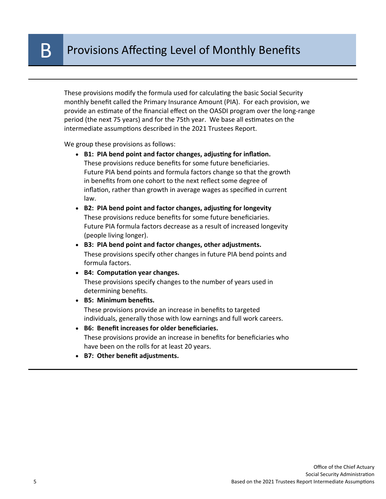These provisions modify the formula used for calculating the basic Social Security monthly benefit called the Primary Insurance Amount (PIA). For each provision, we provide an estimate of the financial effect on the OASDI program over the long-range period (the next 75 years) and for the 75th year. We base all estimates on the intermediate assumptions described in the 2021 Trustees Report.

We group these provisions as follows:

- B1: PIA bend point and factor changes, adjusting for inflation. These provisions reduce benefits for some future beneficiaries. Future PIA bend points and formula factors change so that the growth in benefits from one cohort to the next reflect some degree of inflation, rather than growth in average wages as specified in current law.
- **B2: PIA bend point and factor changes, adjusting for longevity** These provisions reduce benefits for some future beneficiaries. Future PIA formula factors decrease as a result of increased longevity (people living longer).
- **B3: PIA bend point and factor changes, other adjustments.**  These provisions specify other changes in future PIA bend points and formula factors.
- **B4: ComputaƟon year changes.**  These provisions specify changes to the number of years used in determining benefits.
- **B5: Minimum benefits.**  These provisions provide an increase in benefits to targeted individuals, generally those with low earnings and full work careers.
- **B6: Benefit increases for older beneficiaries.**  These provisions provide an increase in benefits for beneficiaries who have been on the rolls for at least 20 years.
- **B7: Other benefit adjustments.**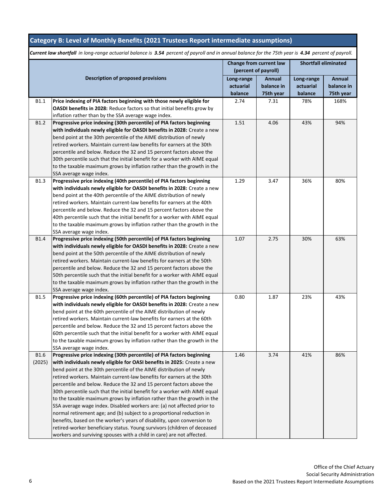## **Category B: Level of Monthly Benefits (2021 Trustees Report intermediate assumptions)**

|             | Change from current law                                                    |                      | <b>Shortfall eliminated</b> |            |            |
|-------------|----------------------------------------------------------------------------|----------------------|-----------------------------|------------|------------|
|             |                                                                            | (percent of payroll) |                             |            |            |
|             | <b>Description of proposed provisions</b>                                  | Long-range           | Annual                      | Long-range | Annual     |
|             |                                                                            | actuarial            | balance in                  | actuarial  | balance in |
|             |                                                                            | balance              | 75th year                   | balance    | 75th year  |
| B1.1        | Price indexing of PIA factors beginning with those newly eligible for      | 2.74                 | 7.31                        | 78%        | 168%       |
|             | OASDI benefits in 2028: Reduce factors so that initial benefits grow by    |                      |                             |            |            |
|             | inflation rather than by the SSA average wage index.                       |                      |                             |            |            |
| <b>B1.2</b> | Progressive price indexing (30th percentile) of PIA factors beginning      | 1.51                 | 4.06                        | 43%        | 94%        |
|             | with individuals newly eligible for OASDI benefits in 2028: Create a new   |                      |                             |            |            |
|             | bend point at the 30th percentile of the AIME distribution of newly        |                      |                             |            |            |
|             | retired workers. Maintain current-law benefits for earners at the 30th     |                      |                             |            |            |
|             | percentile and below. Reduce the 32 and 15 percent factors above the       |                      |                             |            |            |
|             | 30th percentile such that the initial benefit for a worker with AIME equal |                      |                             |            |            |
|             | to the taxable maximum grows by inflation rather than the growth in the    |                      |                             |            |            |
|             | SSA average wage index.                                                    |                      |                             |            |            |
| <b>B1.3</b> | Progressive price indexing (40th percentile) of PIA factors beginning      | 1.29                 | 3.47                        | 36%        | 80%        |
|             | with individuals newly eligible for OASDI benefits in 2028: Create a new   |                      |                             |            |            |
|             | bend point at the 40th percentile of the AIME distribution of newly        |                      |                             |            |            |
|             | retired workers. Maintain current-law benefits for earners at the 40th     |                      |                             |            |            |
|             | percentile and below. Reduce the 32 and 15 percent factors above the       |                      |                             |            |            |
|             | 40th percentile such that the initial benefit for a worker with AIME equal |                      |                             |            |            |
|             | to the taxable maximum grows by inflation rather than the growth in the    |                      |                             |            |            |
|             | SSA average wage index.                                                    |                      |                             |            |            |
| <b>B1.4</b> | Progressive price indexing (50th percentile) of PIA factors beginning      | 1.07                 | 2.75                        | 30%        | 63%        |
|             | with individuals newly eligible for OASDI benefits in 2028: Create a new   |                      |                             |            |            |
|             | bend point at the 50th percentile of the AIME distribution of newly        |                      |                             |            |            |
|             | retired workers. Maintain current-law benefits for earners at the 50th     |                      |                             |            |            |
|             | percentile and below. Reduce the 32 and 15 percent factors above the       |                      |                             |            |            |
|             | 50th percentile such that the initial benefit for a worker with AIME equal |                      |                             |            |            |
|             | to the taxable maximum grows by inflation rather than the growth in the    |                      |                             |            |            |
|             | SSA average wage index.                                                    |                      |                             |            |            |
| <b>B1.5</b> | Progressive price indexing (60th percentile) of PIA factors beginning      | 0.80                 | 1.87                        | 23%        | 43%        |
|             | with individuals newly eligible for OASDI benefits in 2028: Create a new   |                      |                             |            |            |
|             | bend point at the 60th percentile of the AIME distribution of newly        |                      |                             |            |            |
|             | retired workers. Maintain current-law benefits for earners at the 60th     |                      |                             |            |            |
|             | percentile and below. Reduce the 32 and 15 percent factors above the       |                      |                             |            |            |
|             | 60th percentile such that the initial benefit for a worker with AIME equal |                      |                             |            |            |
|             | to the taxable maximum grows by inflation rather than the growth in the    |                      |                             |            |            |
|             | SSA average wage index.                                                    |                      |                             |            |            |
| B1.6        | Progressive price indexing (30th percentile) of PIA factors beginning      | 1.46                 | 3.74                        | 41%        | 86%        |
| (2025)      | with individuals newly eligible for OASI benefits in 2025: Create a new    |                      |                             |            |            |
|             | bend point at the 30th percentile of the AIME distribution of newly        |                      |                             |            |            |
|             | retired workers. Maintain current-law benefits for earners at the 30th     |                      |                             |            |            |
|             | percentile and below. Reduce the 32 and 15 percent factors above the       |                      |                             |            |            |
|             | 30th percentile such that the initial benefit for a worker with AIME equal |                      |                             |            |            |
|             | to the taxable maximum grows by inflation rather than the growth in the    |                      |                             |            |            |
|             | SSA average wage index. Disabled workers are: (a) not affected prior to    |                      |                             |            |            |
|             | normal retirement age; and (b) subject to a proportional reduction in      |                      |                             |            |            |
|             | benefits, based on the worker's years of disability, upon conversion to    |                      |                             |            |            |
|             | retired-worker beneficiary status. Young survivors (children of deceased   |                      |                             |            |            |
|             | workers and surviving spouses with a child in care) are not affected.      |                      |                             |            |            |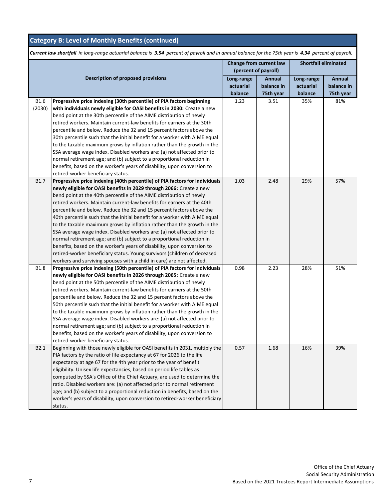|                  |                                                                             | Change from current law<br>(percent of payroll) |            | <b>Shortfall eliminated</b> |            |  |
|------------------|-----------------------------------------------------------------------------|-------------------------------------------------|------------|-----------------------------|------------|--|
|                  | <b>Description of proposed provisions</b>                                   | Long-range                                      | Annual     | Long-range                  | Annual     |  |
|                  |                                                                             | actuarial                                       | balance in | actuarial                   | balance in |  |
|                  |                                                                             | balance                                         | 75th year  | balance                     | 75th year  |  |
| <b>B1.6</b>      | Progressive price indexing (30th percentile) of PIA factors beginning       | 1.23                                            | 3.51       | 35%                         | 81%        |  |
| (2030)           | with individuals newly eligible for OASI benefits in 2030: Create a new     |                                                 |            |                             |            |  |
|                  | bend point at the 30th percentile of the AIME distribution of newly         |                                                 |            |                             |            |  |
|                  | retired workers. Maintain current-law benefits for earners at the 30th      |                                                 |            |                             |            |  |
|                  | percentile and below. Reduce the 32 and 15 percent factors above the        |                                                 |            |                             |            |  |
|                  | 30th percentile such that the initial benefit for a worker with AIME equal  |                                                 |            |                             |            |  |
|                  | to the taxable maximum grows by inflation rather than the growth in the     |                                                 |            |                             |            |  |
|                  | SSA average wage index. Disabled workers are: (a) not affected prior to     |                                                 |            |                             |            |  |
|                  | normal retirement age; and (b) subject to a proportional reduction in       |                                                 |            |                             |            |  |
|                  | benefits, based on the worker's years of disability, upon conversion to     |                                                 |            |                             |            |  |
|                  | retired-worker beneficiary status.                                          |                                                 |            |                             |            |  |
| B1.7             | Progressive price indexing (40th percentile) of PIA factors for individuals | 1.03                                            | 2.48       | 29%                         | 57%        |  |
|                  | newly eligible for OASI benefits in 2029 through 2066: Create a new         |                                                 |            |                             |            |  |
|                  | bend point at the 40th percentile of the AIME distribution of newly         |                                                 |            |                             |            |  |
|                  | retired workers. Maintain current-law benefits for earners at the 40th      |                                                 |            |                             |            |  |
|                  | percentile and below. Reduce the 32 and 15 percent factors above the        |                                                 |            |                             |            |  |
|                  | 40th percentile such that the initial benefit for a worker with AIME equal  |                                                 |            |                             |            |  |
|                  | to the taxable maximum grows by inflation rather than the growth in the     |                                                 |            |                             |            |  |
|                  | SSA average wage index. Disabled workers are: (a) not affected prior to     |                                                 |            |                             |            |  |
|                  | normal retirement age; and (b) subject to a proportional reduction in       |                                                 |            |                             |            |  |
|                  | benefits, based on the worker's years of disability, upon conversion to     |                                                 |            |                             |            |  |
|                  | retired-worker beneficiary status. Young survivors (children of deceased    |                                                 |            |                             |            |  |
|                  | workers and surviving spouses with a child in care) are not affected.       |                                                 |            |                             |            |  |
| <b>B1.8</b>      | Progressive price indexing (50th percentile) of PIA factors for individuals | 0.98                                            | 2.23       | 28%                         | 51%        |  |
|                  | newly eligible for OASI benefits in 2026 through 2065: Create a new         |                                                 |            |                             |            |  |
|                  | bend point at the 50th percentile of the AIME distribution of newly         |                                                 |            |                             |            |  |
|                  | retired workers. Maintain current-law benefits for earners at the 50th      |                                                 |            |                             |            |  |
|                  | percentile and below. Reduce the 32 and 15 percent factors above the        |                                                 |            |                             |            |  |
|                  | 50th percentile such that the initial benefit for a worker with AIME equal  |                                                 |            |                             |            |  |
|                  | to the taxable maximum grows by inflation rather than the growth in the     |                                                 |            |                             |            |  |
|                  | SSA average wage index. Disabled workers are: (a) not affected prior to     |                                                 |            |                             |            |  |
|                  | normal retirement age; and (b) subject to a proportional reduction in       |                                                 |            |                             |            |  |
|                  | benefits, based on the worker's years of disability, upon conversion to     |                                                 |            |                             |            |  |
|                  | retired-worker beneficiary status.                                          |                                                 |            |                             |            |  |
| B <sub>2.1</sub> | Beginning with those newly eligible for OASI benefits in 2031, multiply the | 0.57                                            | 1.68       | 16%                         | 39%        |  |
|                  | PIA factors by the ratio of life expectancy at 67 for 2026 to the life      |                                                 |            |                             |            |  |
|                  | expectancy at age 67 for the 4th year prior to the year of benefit          |                                                 |            |                             |            |  |
|                  | eligibility. Unisex life expectancies, based on period life tables as       |                                                 |            |                             |            |  |
|                  | computed by SSA's Office of the Chief Actuary, are used to determine the    |                                                 |            |                             |            |  |
|                  | ratio. Disabled workers are: (a) not affected prior to normal retirement    |                                                 |            |                             |            |  |
|                  | age; and (b) subject to a proportional reduction in benefits, based on the  |                                                 |            |                             |            |  |
|                  | worker's years of disability, upon conversion to retired-worker beneficiary |                                                 |            |                             |            |  |
|                  | status.                                                                     |                                                 |            |                             |            |  |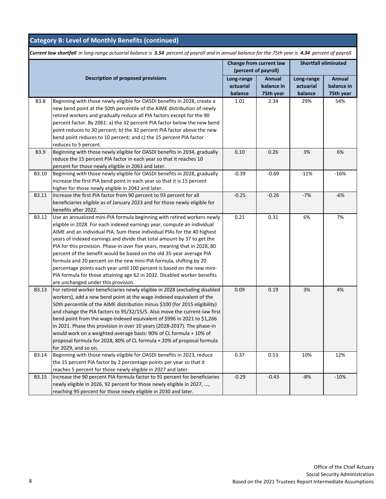|              |                                                                                                                                                                                                                                                                                                                                                                                                                                                                                                                                                                                                                                                                                                                                     | Change from current law<br>(percent of payroll) |                                   | <b>Shortfall eliminated</b>        |                                   |
|--------------|-------------------------------------------------------------------------------------------------------------------------------------------------------------------------------------------------------------------------------------------------------------------------------------------------------------------------------------------------------------------------------------------------------------------------------------------------------------------------------------------------------------------------------------------------------------------------------------------------------------------------------------------------------------------------------------------------------------------------------------|-------------------------------------------------|-----------------------------------|------------------------------------|-----------------------------------|
|              | <b>Description of proposed provisions</b>                                                                                                                                                                                                                                                                                                                                                                                                                                                                                                                                                                                                                                                                                           | Long-range<br>actuarial<br>balance              | Annual<br>balance in<br>75th year | Long-range<br>actuarial<br>balance | Annual<br>balance in<br>75th year |
| <b>B3.8</b>  | Beginning with those newly eligible for OASDI benefits in 2028, create a<br>new bend point at the 50th percentile of the AIME distribution of newly<br>retired workers and gradually reduce all PIA factors except for the 90<br>percent factor. By 2061: a) the 32 percent PIA factor below the new bend<br>point reduces to 30 percent; b) the 32 percent PIA factor above the new<br>bend point reduces to 10 percent; and c) the 15 percent PIA factor<br>reduces to 5 percent.                                                                                                                                                                                                                                                 | 1.01                                            | 2.34                              | 29%                                | 54%                               |
| <b>B3.9</b>  | Beginning with those newly eligible for OASDI benefits in 2034, gradually<br>reduce the 15 percent PIA factor in each year so that it reaches 10<br>percent for those newly eligible in 2063 and later.                                                                                                                                                                                                                                                                                                                                                                                                                                                                                                                             | 0.10                                            | 0.26                              | 3%                                 | 6%                                |
| B3.10        | Beginning with those newly eligible for OASDI benefits in 2028, gradually<br>increase the first PIA bend point in each year so that it is 15 percent<br>higher for those newly eligible in 2042 and later.                                                                                                                                                                                                                                                                                                                                                                                                                                                                                                                          | $-0.39$                                         | $-0.69$                           | $-11%$                             | $-16%$                            |
| B3.11        | Increase the first PIA factor from 90 percent to 93 percent for all<br>beneficiaries eligible as of January 2023 and for those newly eligible for<br>benefits after 2022.                                                                                                                                                                                                                                                                                                                                                                                                                                                                                                                                                           | $-0.25$                                         | $-0.26$                           | $-7%$                              | $-6%$                             |
| B3.12        | Use an annualized mini-PIA formula beginning with retired workers newly<br>eligible in 2028. For each indexed earnings year, compute an individual<br>AIME and an individual PIA. Sum these individual PIAs for the 40 highest<br>years of indexed earnings and divide that total amount by 37 to get the<br>PIA for this provision. Phase-in over five years, meaning that in 2028, 80<br>percent of the benefit would be based on the old 35-year average PIA<br>formula and 20 percent on the new mini-PIA formula, shifting by 20<br>percentage points each year until 100 percent is based on the new mini-<br>PIA formula for those attaining age 62 in 2032. Disabled worker benefits<br>are unchanged under this provision. | 0.21                                            | 0.31                              | 6%                                 | 7%                                |
| B3.13        | For retired worker beneficiaries newly eligible in 2028 (excluding disabled<br>workers), add a new bend point at the wage-indexed equivalent of the<br>50th percentile of the AIME distribution minus \$100 (for 2015 eligibility)<br>and change the PIA factors to 95/32/15/5. Also move the current-law first<br>bend point from the wage-indexed equivalent of \$996 in 2021 to \$1,266<br>in 2021. Phase this provision in over 10 years (2028-2037). The phase-in<br>would work on a weighted-average basis: 90% of CL formula + 10% of<br>proposal formula for 2028, 80% of CL formula + 20% of proposal formula<br>for 2029, and so on.                                                                                      | 0.09                                            | 0.19                              | 3%                                 | 4%                                |
| B3.14        | Beginning with those newly eligible for OASDI benefits in 2023, reduce<br>the 15 percent PIA factor by 2 percentage points per year so that it<br>reaches 5 percent for those newly eligible in 2027 and later.                                                                                                                                                                                                                                                                                                                                                                                                                                                                                                                     | 0.37                                            | 0.53                              | 10%                                | 12%                               |
| <b>B3.15</b> | Increase the 90 percent PIA formula factor to 91 percent for beneficiaries<br>newly eligible in 2026, 92 percent for those newly eligible in 2027, ,<br>reaching 95 percent for those newly eligible in 2030 and later.                                                                                                                                                                                                                                                                                                                                                                                                                                                                                                             | $-0.29$                                         | $-0.43$                           | $-8%$                              | $-10%$                            |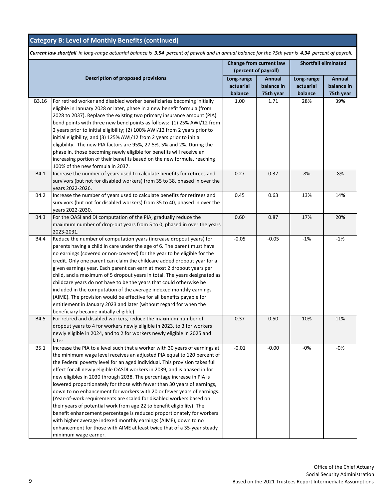|       |                                                                                                                                                    | Change from current law<br>(percent of payroll) |            | <b>Shortfall eliminated</b> |            |
|-------|----------------------------------------------------------------------------------------------------------------------------------------------------|-------------------------------------------------|------------|-----------------------------|------------|
|       | Description of proposed provisions                                                                                                                 | Long-range                                      | Annual     | Long-range                  | Annual     |
|       |                                                                                                                                                    | actuarial                                       | balance in | actuarial                   | balance in |
|       |                                                                                                                                                    | balance                                         | 75th year  | balance                     | 75th year  |
| B3.16 | For retired worker and disabled worker beneficiaries becoming initially                                                                            | 1.00                                            | 1.71       | 28%                         | 39%        |
|       | eligible in January 2028 or later, phase in a new benefit formula (from                                                                            |                                                 |            |                             |            |
|       | 2028 to 2037). Replace the existing two primary insurance amount (PIA)                                                                             |                                                 |            |                             |            |
|       | bend points with three new bend points as follows: (1) 25% AWI/12 from                                                                             |                                                 |            |                             |            |
|       | 2 years prior to initial eligibility; (2) 100% AWI/12 from 2 years prior to                                                                        |                                                 |            |                             |            |
|       | initial eligibility; and (3) 125% AWI/12 from 2 years prior to initial                                                                             |                                                 |            |                             |            |
|       | eligibility. The new PIA factors are 95%, 27.5%, 5% and 2%. During the                                                                             |                                                 |            |                             |            |
|       | phase in, those becoming newly eligible for benefits will receive an                                                                               |                                                 |            |                             |            |
|       | increasing portion of their benefits based on the new formula, reaching                                                                            |                                                 |            |                             |            |
|       | 100% of the new formula in 2037.                                                                                                                   |                                                 |            |                             |            |
| B4.1  | Increase the number of years used to calculate benefits for retirees and                                                                           | 0.27                                            | 0.37       | 8%                          | 8%         |
|       | survivors (but not for disabled workers) from 35 to 38, phased in over the                                                                         |                                                 |            |                             |            |
|       | years 2022-2026.                                                                                                                                   |                                                 |            |                             |            |
| B4.2  | Increase the number of years used to calculate benefits for retirees and                                                                           | 0.45                                            | 0.63       | 13%                         | 14%        |
|       | survivors (but not for disabled workers) from 35 to 40, phased in over the                                                                         |                                                 |            |                             |            |
|       | years 2022-2030.                                                                                                                                   |                                                 |            |                             |            |
| B4.3  | For the OASI and DI computation of the PIA, gradually reduce the                                                                                   | 0.60                                            | 0.87       | 17%                         | 20%        |
|       | maximum number of drop-out years from 5 to 0, phased in over the years                                                                             |                                                 |            |                             |            |
|       | 2023-2031.                                                                                                                                         |                                                 |            |                             |            |
| B4.4  | Reduce the number of computation years (increase dropout years) for                                                                                | $-0.05$                                         | $-0.05$    | $-1%$                       | $-1%$      |
|       | parents having a child in care under the age of 6. The parent must have                                                                            |                                                 |            |                             |            |
|       | no earnings (covered or non-covered) for the year to be eligible for the                                                                           |                                                 |            |                             |            |
|       | credit. Only one parent can claim the childcare added dropout year for a                                                                           |                                                 |            |                             |            |
|       | given earnings year. Each parent can earn at most 2 dropout years per                                                                              |                                                 |            |                             |            |
|       | child, and a maximum of 5 dropout years in total. The years designated as                                                                          |                                                 |            |                             |            |
|       | childcare years do not have to be the years that could otherwise be                                                                                |                                                 |            |                             |            |
|       | included in the computation of the average indexed monthly earnings                                                                                |                                                 |            |                             |            |
|       | (AIME). The provision would be effective for all benefits payable for                                                                              |                                                 |            |                             |            |
|       | entitlement in January 2023 and later (without regard for when the                                                                                 |                                                 |            |                             |            |
|       | beneficiary became initially eligible).                                                                                                            |                                                 |            |                             |            |
| B4.5  | For retired and disabled workers, reduce the maximum number of                                                                                     | 0.37                                            | 0.50       | 10%                         | 11%        |
|       | dropout years to 4 for workers newly eligible in 2023, to 3 for workers<br>newly eligible in 2024, and to 2 for workers newly eligible in 2025 and |                                                 |            |                             |            |
|       | later.                                                                                                                                             |                                                 |            |                             |            |
| B5.1  | Increase the PIA to a level such that a worker with 30 years of earnings at                                                                        | $-0.01$                                         | $-0.00$    | $-0%$                       | $-0%$      |
|       | the minimum wage level receives an adjusted PIA equal to 120 percent of                                                                            |                                                 |            |                             |            |
|       | the Federal poverty level for an aged individual. This provision takes full                                                                        |                                                 |            |                             |            |
|       | effect for all newly eligible OASDI workers in 2039, and is phased in for                                                                          |                                                 |            |                             |            |
|       | new eligibles in 2030 through 2038. The percentage increase in PIA is                                                                              |                                                 |            |                             |            |
|       | lowered proportionately for those with fewer than 30 years of earnings,                                                                            |                                                 |            |                             |            |
|       | down to no enhancement for workers with 20 or fewer years of earnings.                                                                             |                                                 |            |                             |            |
|       | (Year-of-work requirements are scaled for disabled workers based on                                                                                |                                                 |            |                             |            |
|       | their years of potential work from age 22 to benefit eligibility). The                                                                             |                                                 |            |                             |            |
|       | benefit enhancement percentage is reduced proportionately for workers                                                                              |                                                 |            |                             |            |
|       | with higher average indexed monthly earnings (AIME), down to no                                                                                    |                                                 |            |                             |            |
|       | enhancement for those with AIME at least twice that of a 35-year steady                                                                            |                                                 |            |                             |            |
|       | minimum wage earner.                                                                                                                               |                                                 |            |                             |            |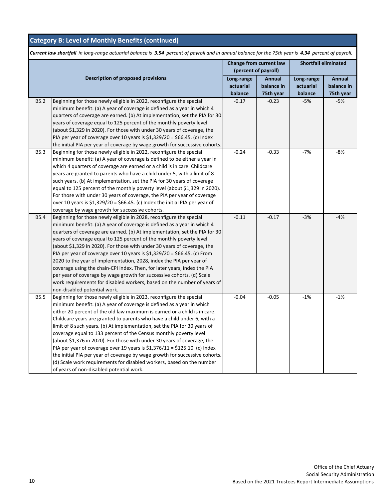|             |                                                                                                                                                                                                                                                                                                                                                                                                                                                                                                                                                                                                                                                                                                                                                                                                                      | Change from current law<br>(percent of payroll) |                                   | <b>Shortfall eliminated</b>        |                                   |
|-------------|----------------------------------------------------------------------------------------------------------------------------------------------------------------------------------------------------------------------------------------------------------------------------------------------------------------------------------------------------------------------------------------------------------------------------------------------------------------------------------------------------------------------------------------------------------------------------------------------------------------------------------------------------------------------------------------------------------------------------------------------------------------------------------------------------------------------|-------------------------------------------------|-----------------------------------|------------------------------------|-----------------------------------|
|             | <b>Description of proposed provisions</b>                                                                                                                                                                                                                                                                                                                                                                                                                                                                                                                                                                                                                                                                                                                                                                            | Long-range<br>actuarial<br>balance              | Annual<br>balance in<br>75th year | Long-range<br>actuarial<br>balance | Annual<br>balance in<br>75th year |
| <b>B5.2</b> | Beginning for those newly eligible in 2022, reconfigure the special<br>minimum benefit: (a) A year of coverage is defined as a year in which 4<br>quarters of coverage are earned. (b) At implementation, set the PIA for 30<br>years of coverage equal to 125 percent of the monthly poverty level<br>(about \$1,329 in 2020). For those with under 30 years of coverage, the<br>PIA per year of coverage over 10 years is \$1,329/20 = \$66.45. (c) Index<br>the initial PIA per year of coverage by wage growth for successive cohorts.                                                                                                                                                                                                                                                                           | $-0.17$                                         | $-0.23$                           | $-5%$                              | $-5%$                             |
| <b>B5.3</b> | Beginning for those newly eligible in 2022, reconfigure the special<br>minimum benefit: (a) A year of coverage is defined to be either a year in<br>which 4 quarters of coverage are earned or a child is in care. Childcare<br>years are granted to parents who have a child under 5, with a limit of 8<br>such years. (b) At implementation, set the PIA for 30 years of coverage<br>equal to 125 percent of the monthly poverty level (about \$1,329 in 2020).<br>For those with under 30 years of coverage, the PIA per year of coverage<br>over 10 years is $$1,329/20 = $66.45$ . (c) Index the initial PIA per year of<br>coverage by wage growth for successive cohorts.                                                                                                                                     | $-0.24$                                         | $-0.33$                           | $-7%$                              | $-8%$                             |
| <b>B5.4</b> | Beginning for those newly eligible in 2028, reconfigure the special<br>minimum benefit: (a) A year of coverage is defined as a year in which 4<br>quarters of coverage are earned. (b) At implementation, set the PIA for 30<br>years of coverage equal to 125 percent of the monthly poverty level<br>(about \$1,329 in 2020). For those with under 30 years of coverage, the<br>PIA per year of coverage over 10 years is \$1,329/20 = \$66.45. (c) From<br>2020 to the year of implementation, 2028, index the PIA per year of<br>coverage using the chain-CPI index. Then, for later years, index the PIA<br>per year of coverage by wage growth for successive cohorts. (d) Scale<br>work requirements for disabled workers, based on the number of years of<br>non-disabled potential work.                    | $-0.11$                                         | $-0.17$                           | $-3%$                              | $-4%$                             |
| <b>B5.5</b> | Beginning for those newly eligible in 2023, reconfigure the special<br>minimum benefit: (a) A year of coverage is defined as a year in which<br>either 20 percent of the old law maximum is earned or a child is in care.<br>Childcare years are granted to parents who have a child under 6, with a<br>limit of 8 such years. (b) At implementation, set the PIA for 30 years of<br>coverage equal to 133 percent of the Census monthly poverty level<br>(about \$1,376 in 2020). For those with under 30 years of coverage, the<br>PIA per year of coverage over 19 years is $$1,376/11 = $125.10$ . (c) Index<br>the initial PIA per year of coverage by wage growth for successive cohorts.<br>(d) Scale work requirements for disabled workers, based on the number<br>of years of non-disabled potential work. | $-0.04$                                         | $-0.05$                           | $-1%$                              | $-1%$                             |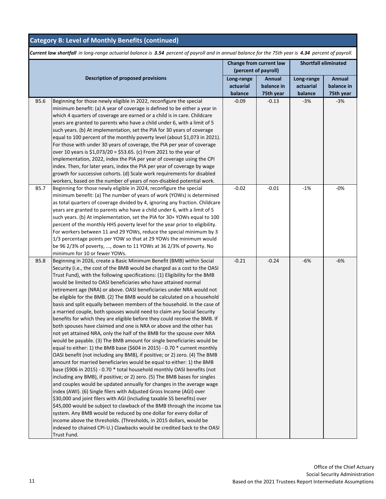|             |                                                                              | Change from current law<br>(percent of payroll) |            | <b>Shortfall eliminated</b> |               |
|-------------|------------------------------------------------------------------------------|-------------------------------------------------|------------|-----------------------------|---------------|
|             | <b>Description of proposed provisions</b>                                    |                                                 | Annual     |                             | <b>Annual</b> |
|             |                                                                              | Long-range<br>actuarial                         | balance in | Long-range<br>actuarial     | balance in    |
|             |                                                                              | balance                                         | 75th year  | balance                     | 75th year     |
| B5.6        | Beginning for those newly eligible in 2022, reconfigure the special          | $-0.09$                                         | $-0.13$    | $-3%$                       | $-3%$         |
|             | minimum benefit: (a) A year of coverage is defined to be either a year in    |                                                 |            |                             |               |
|             | which 4 quarters of coverage are earned or a child is in care. Childcare     |                                                 |            |                             |               |
|             | years are granted to parents who have a child under 6, with a limit of 5     |                                                 |            |                             |               |
|             | such years. (b) At implementation, set the PIA for 30 years of coverage      |                                                 |            |                             |               |
|             | equal to 100 percent of the monthly poverty level (about \$1,073 in 2021).   |                                                 |            |                             |               |
|             | For those with under 30 years of coverage, the PIA per year of coverage      |                                                 |            |                             |               |
|             | over 10 years is \$1,073/20 = \$53.65. (c) From 2021 to the year of          |                                                 |            |                             |               |
|             | implementation, 2022, index the PIA per year of coverage using the CPI       |                                                 |            |                             |               |
|             | index. Then, for later years, index the PIA per year of coverage by wage     |                                                 |            |                             |               |
|             | growth for successive cohorts. (d) Scale work requirements for disabled      |                                                 |            |                             |               |
|             | workers, based on the number of years of non-disabled potential work.        |                                                 |            |                             |               |
| B5.7        | Beginning for those newly eligible in 2024, reconfigure the special          | $-0.02$                                         | $-0.01$    | $-1%$                       | -0%           |
|             | minimum benefit: (a) The number of years of work (YOWs) is determined        |                                                 |            |                             |               |
|             | as total quarters of coverage divided by 4, ignoring any fraction. Childcare |                                                 |            |                             |               |
|             | years are granted to parents who have a child under 6, with a limit of 5     |                                                 |            |                             |               |
|             | such years. (b) At implementation, set the PIA for 30+ YOWs equal to 100     |                                                 |            |                             |               |
|             | percent of the monthly HHS poverty level for the year prior to eligibility.  |                                                 |            |                             |               |
|             | For workers between 11 and 29 YOWs, reduce the special minimum by 3          |                                                 |            |                             |               |
|             | 1/3 percentage points per YOW so that at 29 YOWs the minimum would           |                                                 |            |                             |               |
|             | be 96 2/3% of poverty, , down to 11 YOWs at 36 2/3% of poverty. No           |                                                 |            |                             |               |
|             | minimum for 10 or fewer YOWs.                                                |                                                 |            |                             |               |
| <b>B5.8</b> | Beginning in 2026, create a Basic Minimum Benefit (BMB) within Social        | $-0.21$                                         | $-0.24$    | $-6%$                       | $-6%$         |
|             | Security (i.e., the cost of the BMB would be charged as a cost to the OASI   |                                                 |            |                             |               |
|             | Trust Fund), with the following specifications: (1) Eligibility for the BMB  |                                                 |            |                             |               |
|             | would be limited to OASI beneficiaries who have attained normal              |                                                 |            |                             |               |
|             | retirement age (NRA) or above. OASI beneficiaries under NRA would not        |                                                 |            |                             |               |
|             | be eligible for the BMB. (2) The BMB would be calculated on a household      |                                                 |            |                             |               |
|             | basis and split equally between members of the household. In the case of     |                                                 |            |                             |               |
|             | a married couple, both spouses would need to claim any Social Security       |                                                 |            |                             |               |
|             | benefits for which they are eligible before they could receive the BMB. If   |                                                 |            |                             |               |
|             | both spouses have claimed and one is NRA or above and the other has          |                                                 |            |                             |               |
|             | not yet attained NRA, only the half of the BMB for the spouse over NRA       |                                                 |            |                             |               |
|             | would be payable. (3) The BMB amount for single beneficiaries would be       |                                                 |            |                             |               |
|             | equal to either: 1) the BMB base (\$604 in 2015) - 0.70 * current monthly    |                                                 |            |                             |               |
|             | OASI benefit (not including any BMB), if positive; or 2) zero. (4) The BMB   |                                                 |            |                             |               |
|             | amount for married beneficiaries would be equal to either: 1) the BMB        |                                                 |            |                             |               |
|             | base (\$906 in 2015) - 0.70 * total household monthly OASI benefits (not     |                                                 |            |                             |               |
|             | including any BMB), if positive; or 2) zero. (5) The BMB bases for singles   |                                                 |            |                             |               |
|             | and couples would be updated annually for changes in the average wage        |                                                 |            |                             |               |
|             | index (AWI). (6) Single filers with Adjusted Gross Income (AGI) over         |                                                 |            |                             |               |
|             | \$30,000 and joint filers with AGI (including taxable SS benefits) over      |                                                 |            |                             |               |
|             | \$45,000 would be subject to clawback of the BMB through the income tax      |                                                 |            |                             |               |
|             | system. Any BMB would be reduced by one dollar for every dollar of           |                                                 |            |                             |               |
|             | income above the thresholds. (Thresholds, in 2015 dollars, would be          |                                                 |            |                             |               |
|             | indexed to chained CPI-U.) Clawbacks would be credited back to the OASI      |                                                 |            |                             |               |
|             | Trust Fund.                                                                  |                                                 |            |                             |               |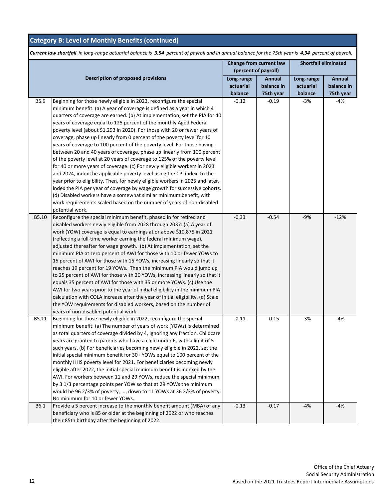|       | Change from current law<br>(percent of payroll)                                 |            | <b>Shortfall eliminated</b> |            |               |
|-------|---------------------------------------------------------------------------------|------------|-----------------------------|------------|---------------|
|       |                                                                                 |            |                             |            |               |
|       | <b>Description of proposed provisions</b>                                       | Long-range | Annual                      | Long-range | <b>Annual</b> |
|       |                                                                                 | actuarial  | balance in                  | actuarial  | balance in    |
|       |                                                                                 | balance    | 75th year                   | balance    | 75th year     |
| B5.9  | Beginning for those newly eligible in 2023, reconfigure the special             | $-0.12$    | $-0.19$                     | -3%        | $-4%$         |
|       | minimum benefit: (a) A year of coverage is defined as a year in which 4         |            |                             |            |               |
|       | quarters of coverage are earned. (b) At implementation, set the PIA for 40      |            |                             |            |               |
|       | years of coverage equal to 125 percent of the monthly Aged Federal              |            |                             |            |               |
|       | poverty level (about \$1,293 in 2020). For those with 20 or fewer years of      |            |                             |            |               |
|       | coverage, phase up linearly from 0 percent of the poverty level for 10          |            |                             |            |               |
|       | years of coverage to 100 percent of the poverty level. For those having         |            |                             |            |               |
|       | between 20 and 40 years of coverage, phase up linearly from 100 percent         |            |                             |            |               |
|       | of the poverty level at 20 years of coverage to 125% of the poverty level       |            |                             |            |               |
|       | for 40 or more years of coverage. (c) For newly eligible workers in 2023        |            |                             |            |               |
|       | and 2024, index the applicable poverty level using the CPI index, to the        |            |                             |            |               |
|       | year prior to eligibility. Then, for newly eligible workers in 2025 and later,  |            |                             |            |               |
|       | index the PIA per year of coverage by wage growth for successive cohorts.       |            |                             |            |               |
|       | (d) Disabled workers have a somewhat similar minimum benefit, with              |            |                             |            |               |
|       | work requirements scaled based on the number of years of non-disabled           |            |                             |            |               |
|       | potential work.                                                                 |            |                             |            |               |
| B5.10 | Reconfigure the special minimum benefit, phased in for retired and              | $-0.33$    | $-0.54$                     | $-9%$      | $-12%$        |
|       | disabled workers newly eligible from 2028 through 2037: (a) A year of           |            |                             |            |               |
|       | work (YOW) coverage is equal to earnings at or above \$10,875 in 2021           |            |                             |            |               |
|       | (reflecting a full-time worker earning the federal minimum wage),               |            |                             |            |               |
|       | adjusted thereafter for wage growth. (b) At implementation, set the             |            |                             |            |               |
|       | minimum PIA at zero percent of AWI for those with 10 or fewer YOWs to           |            |                             |            |               |
|       | 15 percent of AWI for those with 15 YOWs, increasing linearly so that it        |            |                             |            |               |
|       | reaches 19 percent for 19 YOWs. Then the minimum PIA would jump up              |            |                             |            |               |
|       | to 25 percent of AWI for those with 20 YOWs, increasing linearly so that it     |            |                             |            |               |
|       | equals 35 percent of AWI for those with 35 or more YOWs. (c) Use the            |            |                             |            |               |
|       | AWI for two years prior to the year of initial eligibility in the minimum PIA   |            |                             |            |               |
|       | calculation with COLA increase after the year of initial eligibility. (d) Scale |            |                             |            |               |
|       | the YOW requirements for disabled workers, based on the number of               |            |                             |            |               |
|       | years of non-disabled potential work.                                           |            |                             |            |               |
| B5.11 | Beginning for those newly eligible in 2022, reconfigure the special             | $-0.11$    | $-0.15$                     | $-3%$      | $-4%$         |
|       | minimum benefit: (a) The number of years of work (YOWs) is determined           |            |                             |            |               |
|       | as total quarters of coverage divided by 4, ignoring any fraction. Childcare    |            |                             |            |               |
|       | years are granted to parents who have a child under 6, with a limit of 5        |            |                             |            |               |
|       | such years. (b) For beneficiaries becoming newly eligible in 2022, set the      |            |                             |            |               |
|       | initial special minimum benefit for 30+ YOWs equal to 100 percent of the        |            |                             |            |               |
|       | monthly HHS poverty level for 2021. For beneficiaries becoming newly            |            |                             |            |               |
|       | eligible after 2022, the initial special minimum benefit is indexed by the      |            |                             |            |               |
|       | AWI. For workers between 11 and 29 YOWs, reduce the special minimum             |            |                             |            |               |
|       | by 3 1/3 percentage points per YOW so that at 29 YOWs the minimum               |            |                             |            |               |
|       | would be 96 2/3% of poverty, , down to 11 YOWs at 36 2/3% of poverty.           |            |                             |            |               |
|       | No minimum for 10 or fewer YOWs.                                                |            |                             |            |               |
| B6.1  | Provide a 5 percent increase to the monthly benefit amount (MBA) of any         | $-0.13$    | $-0.17$                     | -4%        | $-4%$         |
|       | beneficiary who is 85 or older at the beginning of 2022 or who reaches          |            |                             |            |               |
|       | their 85th birthday after the beginning of 2022.                                |            |                             |            |               |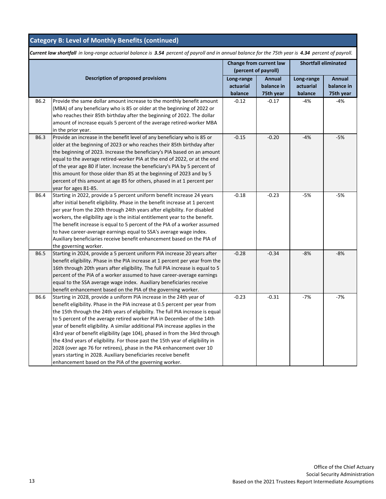|      |                                                                                                                                                                                                                                                                                                                                                                                                                                                                                                                                                                                                                                                                                                                                                                       | Change from current law<br>(percent of payroll) |                                   | <b>Shortfall eliminated</b>        |                                   |
|------|-----------------------------------------------------------------------------------------------------------------------------------------------------------------------------------------------------------------------------------------------------------------------------------------------------------------------------------------------------------------------------------------------------------------------------------------------------------------------------------------------------------------------------------------------------------------------------------------------------------------------------------------------------------------------------------------------------------------------------------------------------------------------|-------------------------------------------------|-----------------------------------|------------------------------------|-----------------------------------|
|      | Description of proposed provisions                                                                                                                                                                                                                                                                                                                                                                                                                                                                                                                                                                                                                                                                                                                                    | Long-range<br>actuarial<br>balance              | Annual<br>balance in<br>75th year | Long-range<br>actuarial<br>balance | Annual<br>balance in<br>75th year |
| B6.2 | Provide the same dollar amount increase to the monthly benefit amount<br>(MBA) of any beneficiary who is 85 or older at the beginning of 2022 or<br>who reaches their 85th birthday after the beginning of 2022. The dollar<br>amount of increase equals 5 percent of the average retired-worker MBA<br>in the prior year.                                                                                                                                                                                                                                                                                                                                                                                                                                            | $-0.12$                                         | $-0.17$                           | $-4%$                              | $-4%$                             |
| B6.3 | Provide an increase in the benefit level of any beneficiary who is 85 or<br>older at the beginning of 2023 or who reaches their 85th birthday after<br>the beginning of 2023. Increase the beneficiary's PIA based on an amount<br>equal to the average retired-worker PIA at the end of 2022, or at the end<br>of the year age 80 if later. Increase the beneficiary's PIA by 5 percent of<br>this amount for those older than 85 at the beginning of 2023 and by 5<br>percent of this amount at age 85 for others, phased in at 1 percent per<br>year for ages 81-85.                                                                                                                                                                                               | $-0.15$                                         | $-0.20$                           | $-4%$                              | $-5%$                             |
| B6.4 | Starting in 2022, provide a 5 percent uniform benefit increase 24 years<br>after initial benefit eligibility. Phase in the benefit increase at 1 percent<br>per year from the 20th through 24th years after eligibility. For disabled<br>workers, the eligibility age is the initial entitlement year to the benefit.<br>The benefit increase is equal to 5 percent of the PIA of a worker assumed<br>to have career-average earnings equal to SSA's average wage index.<br>Auxiliary beneficiaries receive benefit enhancement based on the PIA of<br>the governing worker.                                                                                                                                                                                          | $-0.18$                                         | $-0.23$                           | $-5%$                              | $-5%$                             |
| B6.5 | Starting in 2024, provide a 5 percent uniform PIA increase 20 years after<br>benefit eligibility. Phase in the PIA increase at 1 percent per year from the<br>16th through 20th years after eligibility. The full PIA increase is equal to 5<br>percent of the PIA of a worker assumed to have career-average earnings<br>equal to the SSA average wage index. Auxiliary beneficiaries receive<br>benefit enhancement based on the PIA of the governing worker.                                                                                                                                                                                                                                                                                                       | $-0.28$                                         | $-0.34$                           | $-8%$                              | $-8%$                             |
| B6.6 | Starting in 2028, provide a uniform PIA increase in the 24th year of<br>benefit eligibility. Phase in the PIA increase at 0.5 percent per year from<br>the 15th through the 24th years of eligibility. The full PIA increase is equal<br>to 5 percent of the average retired worker PIA in December of the 14th<br>year of benefit eligibility. A similar additional PIA increase applies in the<br>43rd year of benefit eligibility (age 104), phased in from the 34rd through<br>the 43nd years of eligibility. For those past the 15th year of eligibility in<br>2028 (over age 76 for retirees), phase in the PIA enhancement over 10<br>years starting in 2028. Auxiliary beneficiaries receive benefit<br>enhancement based on the PIA of the governing worker. | $-0.23$                                         | $-0.31$                           | $-7%$                              | $-7%$                             |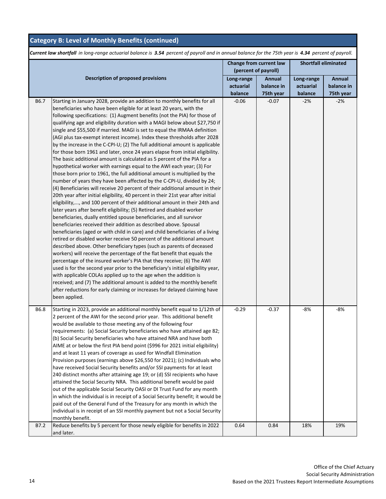|      | Change from current law<br>(percent of payroll)                                  |            |            | <b>Shortfall eliminated</b> |            |  |
|------|----------------------------------------------------------------------------------|------------|------------|-----------------------------|------------|--|
|      |                                                                                  |            |            |                             |            |  |
|      | <b>Description of proposed provisions</b>                                        | Long-range | Annual     | Long-range                  | Annual     |  |
|      |                                                                                  | actuarial  | balance in | actuarial                   | balance in |  |
|      |                                                                                  | balance    | 75th year  | balance                     | 75th year  |  |
| B6.7 | Starting in January 2028, provide an addition to monthly benefits for all        | $-0.06$    | $-0.07$    | $-2%$                       | $-2%$      |  |
|      | beneficiaries who have been eligible for at least 20 years, with the             |            |            |                             |            |  |
|      | following specifications: (1) Augment benefits (not the PIA) for those of        |            |            |                             |            |  |
|      | qualifying age and eligibility duration with a MAGI below about \$27,750 if      |            |            |                             |            |  |
|      | single and \$55,500 if married. MAGI is set to equal the IRMAA definition        |            |            |                             |            |  |
|      | (AGI plus tax-exempt interest income). Index these thresholds after 2028         |            |            |                             |            |  |
|      | by the increase in the C-CPI-U; (2) The full additional amount is applicable     |            |            |                             |            |  |
|      | for those born 1961 and later, once 24 years elapse from initial eligibility.    |            |            |                             |            |  |
|      | The basic additional amount is calculated as 5 percent of the PIA for a          |            |            |                             |            |  |
|      | hypothetical worker with earnings equal to the AWI each year; (3) For            |            |            |                             |            |  |
|      | those born prior to 1961, the full additional amount is multiplied by the        |            |            |                             |            |  |
|      | number of years they have been affected by the C-CPI-U, divided by 24;           |            |            |                             |            |  |
|      | (4) Beneficiaries will receive 20 percent of their additional amount in their    |            |            |                             |            |  |
|      | 20th year after initial eligibility, 40 percent in their 21st year after initial |            |            |                             |            |  |
|      | eligibility,, and 100 percent of their additional amount in their 24th and       |            |            |                             |            |  |
|      | later years after benefit eligibility; (5) Retired and disabled worker           |            |            |                             |            |  |
|      | beneficiaries, dually entitled spouse beneficiaries, and all survivor            |            |            |                             |            |  |
|      | beneficiaries received their addition as described above. Spousal                |            |            |                             |            |  |
|      | beneficiaries (aged or with child in care) and child beneficiaries of a living   |            |            |                             |            |  |
|      | retired or disabled worker receive 50 percent of the additional amount           |            |            |                             |            |  |
|      | described above. Other beneficiary types (such as parents of deceased            |            |            |                             |            |  |
|      | workers) will receive the percentage of the flat benefit that equals the         |            |            |                             |            |  |
|      | percentage of the insured worker's PIA that they receive; (6) The AWI            |            |            |                             |            |  |
|      | used is for the second year prior to the beneficiary's initial eligibility year, |            |            |                             |            |  |
|      | with applicable COLAs applied up to the age when the addition is                 |            |            |                             |            |  |
|      | received; and (7) The additional amount is added to the monthly benefit          |            |            |                             |            |  |
|      | after reductions for early claiming or increases for delayed claiming have       |            |            |                             |            |  |
|      | been applied.                                                                    |            |            |                             |            |  |
| B6.8 | Starting in 2023, provide an additional monthly benefit equal to 1/12th of       | $-0.29$    | $-0.37$    | $-8%$                       | -8%        |  |
|      | 2 percent of the AWI for the second prior year. This additional benefit          |            |            |                             |            |  |
|      | would be available to those meeting any of the following four                    |            |            |                             |            |  |
|      | requirements: (a) Social Security beneficiaries who have attained age 82;        |            |            |                             |            |  |
|      | (b) Social Security beneficiaries who have attained NRA and have both            |            |            |                             |            |  |
|      | AIME at or below the first PIA bend point (\$996 for 2021 initial eligibility)   |            |            |                             |            |  |
|      | and at least 11 years of coverage as used for Windfall Elimination               |            |            |                             |            |  |
|      | Provision purposes (earnings above \$26,550 for 2021); (c) Individuals who       |            |            |                             |            |  |
|      | have received Social Security benefits and/or SSI payments for at least          |            |            |                             |            |  |
|      | 240 distinct months after attaining age 19; or (d) SSI recipients who have       |            |            |                             |            |  |
|      | attained the Social Security NRA. This additional benefit would be paid          |            |            |                             |            |  |
|      | out of the applicable Social Security OASI or DI Trust Fund for any month        |            |            |                             |            |  |
|      | in which the individual is in receipt of a Social Security benefit; it would be  |            |            |                             |            |  |
|      | paid out of the General Fund of the Treasury for any month in which the          |            |            |                             |            |  |
|      | individual is in receipt of an SSI monthly payment but not a Social Security     |            |            |                             |            |  |
|      | monthly benefit.                                                                 |            |            |                             |            |  |
| B7.2 | Reduce benefits by 5 percent for those newly eligible for benefits in 2022       | 0.64       | 0.84       | 18%                         | 19%        |  |
|      | and later.                                                                       |            |            |                             |            |  |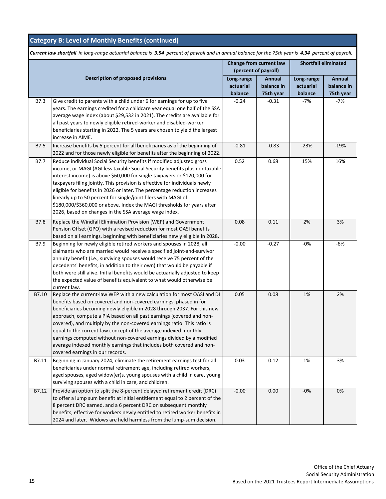|             |                                                                                                                                                                                                                                                                                                                                                                                                                                                                                                                                                                                                                                    | Change from current law<br>(percent of payroll) |                      | <b>Shortfall eliminated</b> |                      |  |
|-------------|------------------------------------------------------------------------------------------------------------------------------------------------------------------------------------------------------------------------------------------------------------------------------------------------------------------------------------------------------------------------------------------------------------------------------------------------------------------------------------------------------------------------------------------------------------------------------------------------------------------------------------|-------------------------------------------------|----------------------|-----------------------------|----------------------|--|
|             | <b>Description of proposed provisions</b>                                                                                                                                                                                                                                                                                                                                                                                                                                                                                                                                                                                          | Long-range<br>actuarial                         | Annual<br>balance in | Long-range<br>actuarial     | Annual<br>balance in |  |
|             |                                                                                                                                                                                                                                                                                                                                                                                                                                                                                                                                                                                                                                    | balance                                         | 75th year            | balance                     | 75th year            |  |
| B7.3        | Give credit to parents with a child under 6 for earnings for up to five<br>years. The earnings credited for a childcare year equal one half of the SSA<br>average wage index (about \$29,532 in 2021). The credits are available for<br>all past years to newly eligible retired-worker and disabled-worker<br>beneficiaries starting in 2022. The 5 years are chosen to yield the largest<br>increase in AIME.                                                                                                                                                                                                                    | $-0.24$                                         | $-0.31$              | $-7%$                       | $-7%$                |  |
| B7.5        | Increase benefits by 5 percent for all beneficiaries as of the beginning of<br>2022 and for those newly eligible for benefits after the beginning of 2022.                                                                                                                                                                                                                                                                                                                                                                                                                                                                         | $-0.81$                                         | $-0.83$              | $-23%$                      | $-19%$               |  |
| B7.7        | Reduce individual Social Security benefits if modified adjusted gross<br>income, or MAGI (AGI less taxable Social Security benefits plus nontaxable<br>interest income) is above \$60,000 for single taxpayers or \$120,000 for<br>taxpayers filing jointly. This provision is effective for individuals newly<br>eligible for benefits in 2026 or later. The percentage reduction increases<br>linearly up to 50 percent for single/joint filers with MAGI of<br>\$180,000/\$360,000 or above. Index the MAGI thresholds for years after<br>2026, based on changes in the SSA average wage index.                                 | 0.52                                            | 0.68                 | 15%                         | 16%                  |  |
| <b>B7.8</b> | Replace the Windfall Elimination Provision (WEP) and Government<br>Pension Offset (GPO) with a revised reduction for most OASI benefits<br>based on all earnings, beginning with beneficiaries newly eligible in 2028.                                                                                                                                                                                                                                                                                                                                                                                                             | 0.08                                            | 0.11                 | 2%                          | 3%                   |  |
| B7.9        | Beginning for newly eligible retired workers and spouses in 2028, all<br>claimants who are married would receive a specified joint-and-survivor<br>annuity benefit (i.e., surviving spouses would receive 75 percent of the<br>decedents' benefits, in addition to their own) that would be payable if<br>both were still alive. Initial benefits would be actuarially adjusted to keep<br>the expected value of benefits equivalent to what would otherwise be<br>current law.                                                                                                                                                    | $-0.00$                                         | $-0.27$              | $-0%$                       | -6%                  |  |
| B7.10       | Replace the current-law WEP with a new calculation for most OASI and DI<br>benefits based on covered and non-covered earnings, phased in for<br>beneficiaries becoming newly eligible in 2028 through 2037. For this new<br>approach, compute a PIA based on all past earnings (covered and non-<br>covered), and multiply by the non-covered earnings ratio. This ratio is<br>equal to the current-law concept of the average indexed monthly<br>earnings computed without non-covered earnings divided by a modified<br>average indexed monthly earnings that includes both covered and non-<br>covered earnings in our records. | 0.05                                            | 0.08                 | 1%                          | 2%                   |  |
| B7.11       | Beginning in January 2024, eliminate the retirement earnings test for all<br>beneficiaries under normal retirement age, including retired workers,<br>aged spouses, aged widow(er)s, young spouses with a child in care, young<br>surviving spouses with a child in care, and children.                                                                                                                                                                                                                                                                                                                                            | 0.03                                            | 0.12                 | 1%                          | 3%                   |  |
| B7.12       | Provide an option to split the 8-percent delayed retirement credit (DRC)<br>to offer a lump sum benefit at initial entitlement equal to 2 percent of the<br>8 percent DRC earned, and a 6 percent DRC on subsequent monthly<br>benefits, effective for workers newly entitled to retired worker benefits in<br>2024 and later. Widows are held harmless from the lump-sum decision.                                                                                                                                                                                                                                                | $-0.00$                                         | 0.00                 | $-0%$                       | 0%                   |  |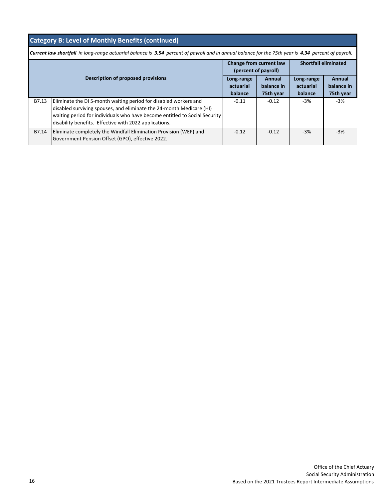|  |  | Category B: Level of Monthly Benefits (continued) |
|--|--|---------------------------------------------------|
|  |  |                                                   |

|       |                                                                                                                                                                                                                                                                                  | Change from current law<br>(percent of payroll) |                                   | <b>Shortfall eliminated</b>        |                                   |
|-------|----------------------------------------------------------------------------------------------------------------------------------------------------------------------------------------------------------------------------------------------------------------------------------|-------------------------------------------------|-----------------------------------|------------------------------------|-----------------------------------|
|       | <b>Description of proposed provisions</b>                                                                                                                                                                                                                                        | Long-range<br>actuarial<br>balance              | Annual<br>balance in<br>75th year | Long-range<br>actuarial<br>balance | Annual<br>balance in<br>75th year |
| B7.13 | Eliminate the DI 5-month waiting period for disabled workers and<br>disabled surviving spouses, and eliminate the 24-month Medicare (HI)<br>waiting period for individuals who have become entitled to Social Security<br>disability benefits. Effective with 2022 applications. | $-0.11$                                         | $-0.12$                           | -3%                                | $-3%$                             |
| B7.14 | Eliminate completely the Windfall Elimination Provision (WEP) and<br>Government Pension Offset (GPO), effective 2022.                                                                                                                                                            | $-0.12$                                         | $-0.12$                           | $-3%$                              | $-3%$                             |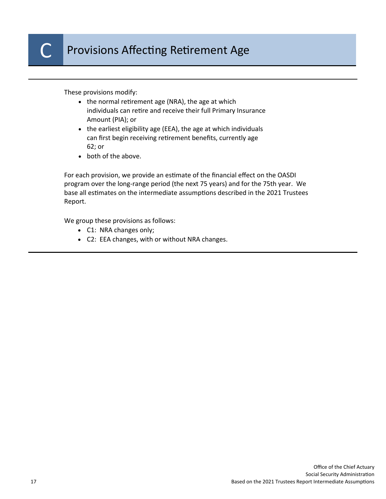These provisions modify:

- $\bullet$  the normal retirement age (NRA), the age at which individuals can retire and receive their full Primary Insurance Amount (PIA); or
- the earliest eligibility age (EEA), the age at which individuals can first begin receiving retirement benefits, currently age 62; or
- both of the above.

For each provision, we provide an estimate of the financial effect on the OASDI program over the long-range period (the next 75 years) and for the 75th year. We base all estimates on the intermediate assumptions described in the 2021 Trustees Report.

We group these provisions as follows:

- C1: NRA changes only;
- C2: EEA changes, with or without NRA changes.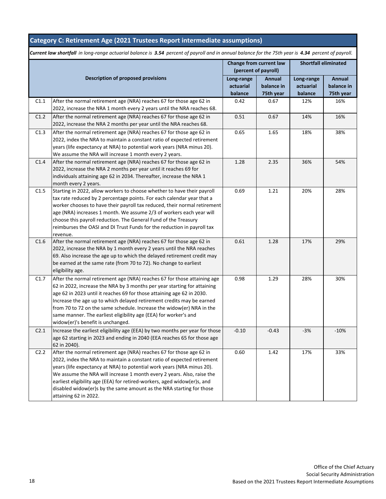### **Category C: Retirement Age (2021 Trustees Report intermediate assumptions)**

|                  |                                                                                                                                                                                                                                                                                                                                                                                                                                                                                           | Change from current law<br>(percent of payroll) |                                   | <b>Shortfall eliminated</b>        |                                   |
|------------------|-------------------------------------------------------------------------------------------------------------------------------------------------------------------------------------------------------------------------------------------------------------------------------------------------------------------------------------------------------------------------------------------------------------------------------------------------------------------------------------------|-------------------------------------------------|-----------------------------------|------------------------------------|-----------------------------------|
|                  | <b>Description of proposed provisions</b>                                                                                                                                                                                                                                                                                                                                                                                                                                                 | Long-range<br>actuarial<br>balance              | Annual<br>balance in<br>75th year | Long-range<br>actuarial<br>balance | Annual<br>balance in<br>75th year |
| C1.1             | After the normal retirement age (NRA) reaches 67 for those age 62 in<br>2022, increase the NRA 1 month every 2 years until the NRA reaches 68.                                                                                                                                                                                                                                                                                                                                            | 0.42                                            | 0.67                              | 12%                                | 16%                               |
| C1.2             | After the normal retirement age (NRA) reaches 67 for those age 62 in<br>2022, increase the NRA 2 months per year until the NRA reaches 68.                                                                                                                                                                                                                                                                                                                                                | 0.51                                            | 0.67                              | 14%                                | 16%                               |
| C1.3             | After the normal retirement age (NRA) reaches 67 for those age 62 in<br>2022, index the NRA to maintain a constant ratio of expected retirement<br>years (life expectancy at NRA) to potential work years (NRA minus 20).<br>We assume the NRA will increase 1 month every 2 years.                                                                                                                                                                                                       | 0.65                                            | 1.65                              | 18%                                | 38%                               |
| C1.4             | After the normal retirement age (NRA) reaches 67 for those age 62 in<br>2022, increase the NRA 2 months per year until it reaches 69 for<br>individuals attaining age 62 in 2034. Thereafter, increase the NRA 1<br>month every 2 years.                                                                                                                                                                                                                                                  | 1.28                                            | 2.35                              | 36%                                | 54%                               |
| C1.5             | Starting in 2022, allow workers to choose whether to have their payroll<br>tax rate reduced by 2 percentage points. For each calendar year that a<br>worker chooses to have their payroll tax reduced, their normal retirement<br>age (NRA) increases 1 month. We assume 2/3 of workers each year will<br>choose this payroll reduction. The General Fund of the Treasury<br>reimburses the OASI and DI Trust Funds for the reduction in payroll tax<br>revenue.                          | 0.69                                            | 1.21                              | 20%                                | 28%                               |
| C1.6             | After the normal retirement age (NRA) reaches 67 for those age 62 in<br>2022, increase the NRA by 1 month every 2 years until the NRA reaches<br>69. Also increase the age up to which the delayed retirement credit may<br>be earned at the same rate (from 70 to 72). No change to earliest<br>eligibility age.                                                                                                                                                                         | 0.61                                            | 1.28                              | 17%                                | 29%                               |
| C1.7             | After the normal retirement age (NRA) reaches 67 for those attaining age<br>62 in 2022, increase the NRA by 3 months per year starting for attaining<br>age 62 in 2023 until it reaches 69 for those attaining age 62 in 2030.<br>Increase the age up to which delayed retirement credits may be earned<br>from 70 to 72 on the same schedule. Increase the widow(er) NRA in the<br>same manner. The earliest eligibility age (EEA) for worker's and<br>widow(er)'s benefit is unchanged. | 0.98                                            | 1.29                              | 28%                                | 30%                               |
| C <sub>2.1</sub> | Increase the earliest eligibility age (EEA) by two months per year for those<br>age 62 starting in 2023 and ending in 2040 (EEA reaches 65 for those age<br>62 in 2040).                                                                                                                                                                                                                                                                                                                  | $-0.10$                                         | $-0.43$                           | $-3%$                              | $-10%$                            |
| C <sub>2.2</sub> | After the normal retirement age (NRA) reaches 67 for those age 62 in<br>2022, index the NRA to maintain a constant ratio of expected retirement<br>years (life expectancy at NRA) to potential work years (NRA minus 20).<br>We assume the NRA will increase 1 month every 2 years. Also, raise the<br>earliest eligibility age (EEA) for retired-workers, aged widow(er)s, and<br>disabled widow(er)s by the same amount as the NRA starting for those<br>attaining 62 in 2022.          | 0.60                                            | 1.42                              | 17%                                | 33%                               |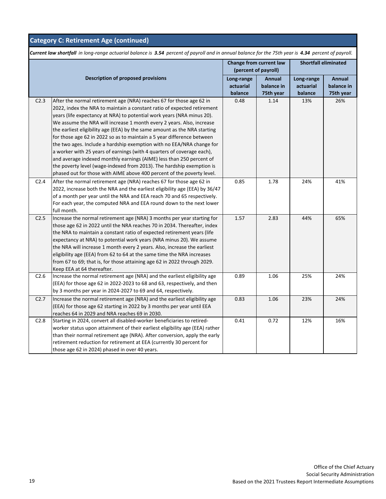| <b>Category C: Retirement Age (continued)</b>                                                                                                        |                                                                                                                                                                                                                                                                                                                                                                                                                                                                                                                                                                                                                                                                                                                                                                                                                                         |                                    |                                   |                                    |                                   |  |  |
|------------------------------------------------------------------------------------------------------------------------------------------------------|-----------------------------------------------------------------------------------------------------------------------------------------------------------------------------------------------------------------------------------------------------------------------------------------------------------------------------------------------------------------------------------------------------------------------------------------------------------------------------------------------------------------------------------------------------------------------------------------------------------------------------------------------------------------------------------------------------------------------------------------------------------------------------------------------------------------------------------------|------------------------------------|-----------------------------------|------------------------------------|-----------------------------------|--|--|
| Current law shortfall in long-range actuarial balance is 3.54 percent of payroll and in annual balance for the 75th year is 4.34 percent of payroll. |                                                                                                                                                                                                                                                                                                                                                                                                                                                                                                                                                                                                                                                                                                                                                                                                                                         |                                    |                                   |                                    |                                   |  |  |
|                                                                                                                                                      | Change from current law<br>(percent of payroll)                                                                                                                                                                                                                                                                                                                                                                                                                                                                                                                                                                                                                                                                                                                                                                                         |                                    | <b>Shortfall eliminated</b>       |                                    |                                   |  |  |
|                                                                                                                                                      | <b>Description of proposed provisions</b>                                                                                                                                                                                                                                                                                                                                                                                                                                                                                                                                                                                                                                                                                                                                                                                               | Long-range<br>actuarial<br>balance | Annual<br>balance in<br>75th year | Long-range<br>actuarial<br>balance | Annual<br>balance in<br>75th year |  |  |
| C2.3                                                                                                                                                 | After the normal retirement age (NRA) reaches 67 for those age 62 in<br>2022, index the NRA to maintain a constant ratio of expected retirement<br>years (life expectancy at NRA) to potential work years (NRA minus 20).<br>We assume the NRA will increase 1 month every 2 years. Also, increase<br>the earliest eligibility age (EEA) by the same amount as the NRA starting<br>for those age 62 in 2022 so as to maintain a 5 year difference between<br>the two ages. Include a hardship exemption with no EEA/NRA change for<br>a worker with 25 years of earnings (with 4 quarters of coverage each),<br>and average indexed monthly earnings (AIME) less than 250 percent of<br>the poverty level (wage-indexed from 2013). The hardship exemption is<br>phased out for those with AIME above 400 percent of the poverty level. | 0.48                               | 1.14                              | 13%                                | 26%                               |  |  |
| C <sub>2.4</sub>                                                                                                                                     | After the normal retirement age (NRA) reaches 67 for those age 62 in<br>2022, increase both the NRA and the earliest eligibility age (EEA) by 36/47<br>of a month per year until the NRA and EEA reach 70 and 65 respectively.<br>For each year, the computed NRA and EEA round down to the next lower<br>full month.                                                                                                                                                                                                                                                                                                                                                                                                                                                                                                                   | 0.85                               | 1.78                              | 24%                                | 41%                               |  |  |
| C2.5                                                                                                                                                 | Increase the normal retirement age (NRA) 3 months per year starting for<br>those age 62 in 2022 until the NRA reaches 70 in 2034. Thereafter, index<br>the NRA to maintain a constant ratio of expected retirement years (life<br>expectancy at NRA) to potential work years (NRA minus 20). We assume<br>the NRA will increase 1 month every 2 years. Also, increase the earliest<br>eligibility age (EEA) from 62 to 64 at the same time the NRA increases<br>from 67 to 69; that is, for those attaining age 62 in 2022 through 2029.<br>Keep EEA at 64 thereafter.                                                                                                                                                                                                                                                                  | 1.57                               | 2.83                              | 44%                                | 65%                               |  |  |
| C2.6                                                                                                                                                 | Increase the normal retirement age (NRA) and the earliest eligibility age<br>(EEA) for those age 62 in 2022-2023 to 68 and 63, respectively, and then<br>by 3 months per year in 2024-2027 to 69 and 64, respectively.                                                                                                                                                                                                                                                                                                                                                                                                                                                                                                                                                                                                                  | 0.89                               | 1.06                              | 25%                                | 24%                               |  |  |
| C2.7                                                                                                                                                 | Increase the normal retirement age (NRA) and the earliest eligibility age<br>(EEA) for those age 62 starting in 2022 by 3 months per year until EEA<br>reaches 64 in 2029 and NRA reaches 69 in 2030.                                                                                                                                                                                                                                                                                                                                                                                                                                                                                                                                                                                                                                   | 0.83                               | 1.06                              | 23%                                | 24%                               |  |  |
| C2.8                                                                                                                                                 | Starting in 2024, convert all disabled-worker beneficiaries to retired-<br>worker status upon attainment of their earliest eligibility age (EEA) rather<br>than their normal retirement age (NRA). After conversion, apply the early<br>retirement reduction for retirement at EEA (currently 30 percent for<br>those age 62 in 2024) phased in over 40 years.                                                                                                                                                                                                                                                                                                                                                                                                                                                                          | 0.41                               | 0.72                              | 12%                                | 16%                               |  |  |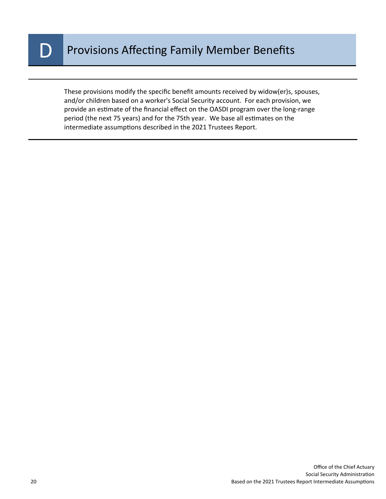

These provisions modify the specific benefit amounts received by widow(er)s, spouses, and/or children based on a worker's Social Security account. For each provision, we provide an estimate of the financial effect on the OASDI program over the long-range period (the next 75 years) and for the 75th year. We base all estimates on the intermediate assumptions described in the 2021 Trustees Report.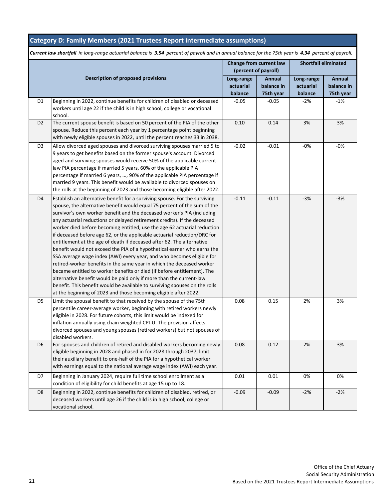#### **Category D: Family Members (2021 Trustees Report intermediate assumptions)**

|                |                                                                                                                                                                                                                                                                                                                                                                                                                                                                                                                                                                                                                                                                                                                                                                                                                                                                                                                                                                                                                                                                                | Change from current law<br>(percent of payroll) |                                          | <b>Shortfall eliminated</b>        |                                   |
|----------------|--------------------------------------------------------------------------------------------------------------------------------------------------------------------------------------------------------------------------------------------------------------------------------------------------------------------------------------------------------------------------------------------------------------------------------------------------------------------------------------------------------------------------------------------------------------------------------------------------------------------------------------------------------------------------------------------------------------------------------------------------------------------------------------------------------------------------------------------------------------------------------------------------------------------------------------------------------------------------------------------------------------------------------------------------------------------------------|-------------------------------------------------|------------------------------------------|------------------------------------|-----------------------------------|
|                | <b>Description of proposed provisions</b>                                                                                                                                                                                                                                                                                                                                                                                                                                                                                                                                                                                                                                                                                                                                                                                                                                                                                                                                                                                                                                      | Long-range<br>actuarial<br>balance              | <b>Annual</b><br>balance in<br>75th year | Long-range<br>actuarial<br>balance | Annual<br>balance in<br>75th year |
| D1             | Beginning in 2022, continue benefits for children of disabled or deceased<br>workers until age 22 if the child is in high school, college or vocational<br>school.                                                                                                                                                                                                                                                                                                                                                                                                                                                                                                                                                                                                                                                                                                                                                                                                                                                                                                             | $-0.05$                                         | $-0.05$                                  | $-2%$                              | $-1%$                             |
| D <sub>2</sub> | The current spouse benefit is based on 50 percent of the PIA of the other<br>spouse. Reduce this percent each year by 1 percentage point beginning<br>with newly eligible spouses in 2022, until the percent reaches 33 in 2038.                                                                                                                                                                                                                                                                                                                                                                                                                                                                                                                                                                                                                                                                                                                                                                                                                                               | 0.10                                            | 0.14                                     | 3%                                 | 3%                                |
| D <sub>3</sub> | Allow divorced aged spouses and divorced surviving spouses married 5 to<br>9 years to get benefits based on the former spouse's account. Divorced<br>aged and surviving spouses would receive 50% of the applicable current-<br>law PIA percentage if married 5 years, 60% of the applicable PIA<br>percentage if married 6 years, , 90% of the applicable PIA percentage if<br>married 9 years. This benefit would be available to divorced spouses on<br>the rolls at the beginning of 2023 and those becoming eligible after 2022.                                                                                                                                                                                                                                                                                                                                                                                                                                                                                                                                          | $-0.02$                                         | $-0.01$                                  | $-0\%$                             | -0%                               |
| D <sub>4</sub> | Establish an alternative benefit for a surviving spouse. For the surviving<br>spouse, the alternative benefit would equal 75 percent of the sum of the<br>survivor's own worker benefit and the deceased worker's PIA (including<br>any actuarial reductions or delayed retirement credits). If the deceased<br>worker died before becoming entitled, use the age 62 actuarial reduction<br>if deceased before age 62, or the applicable actuarial reduction/DRC for<br>entitlement at the age of death if deceased after 62. The alternative<br>benefit would not exceed the PIA of a hypothetical earner who earns the<br>SSA average wage index (AWI) every year, and who becomes eligible for<br>retired-worker benefits in the same year in which the deceased worker<br>became entitled to worker benefits or died (if before entitlement). The<br>alternative benefit would be paid only if more than the current-law<br>benefit. This benefit would be available to surviving spouses on the rolls<br>at the beginning of 2023 and those becoming eligible after 2022. | $-0.11$                                         | $-0.11$                                  | $-3%$                              | $-3%$                             |
| D5             | Limit the spousal benefit to that received by the spouse of the 75th<br>percentile career-average worker, beginning with retired workers newly<br>eligible in 2028. For future cohorts, this limit would be indexed for<br>inflation annually using chain weighted CPI-U. The provision affects<br>divorced spouses and young spouses (retired workers) but not spouses of<br>disabled workers.                                                                                                                                                                                                                                                                                                                                                                                                                                                                                                                                                                                                                                                                                | 0.08                                            | 0.15                                     | 2%                                 | 3%                                |
| D <sub>6</sub> | For spouses and children of retired and disabled workers becoming newly<br>eligible beginning in 2028 and phased in for 2028 through 2037, limit<br>their auxiliary benefit to one-half of the PIA for a hypothetical worker<br>with earnings equal to the national average wage index (AWI) each year.                                                                                                                                                                                                                                                                                                                                                                                                                                                                                                                                                                                                                                                                                                                                                                        | 0.08                                            | 0.12                                     | 2%                                 | 3%                                |
| D7             | Beginning in January 2024, require full time school enrollment as a<br>condition of eligibility for child benefits at age 15 up to 18.                                                                                                                                                                                                                                                                                                                                                                                                                                                                                                                                                                                                                                                                                                                                                                                                                                                                                                                                         | 0.01                                            | 0.01                                     | 0%                                 | 0%                                |
| D <sub>8</sub> | Beginning in 2022, continue benefits for children of disabled, retired, or<br>deceased workers until age 26 if the child is in high school, college or<br>vocational school.                                                                                                                                                                                                                                                                                                                                                                                                                                                                                                                                                                                                                                                                                                                                                                                                                                                                                                   | $-0.09$                                         | $-0.09$                                  | $-2%$                              | $-2%$                             |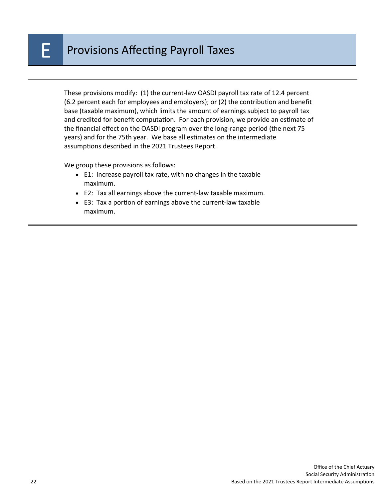These provisions modify: (1) the current-law OASDI payroll tax rate of 12.4 percent (6.2 percent each for employees and employers); or (2) the contribution and benefit base (taxable maximum), which limits the amount of earnings subject to payroll tax and credited for benefit computation. For each provision, we provide an estimate of the financial effect on the OASDI program over the long-range period (the next 75 years) and for the 75th year. We base all estimates on the intermediate assumptions described in the 2021 Trustees Report.

We group these provisions as follows:

- E1: Increase payroll tax rate, with no changes in the taxable maximum.
- E2: Tax all earnings above the current-law taxable maximum.
- E3: Tax a portion of earnings above the current-law taxable maximum.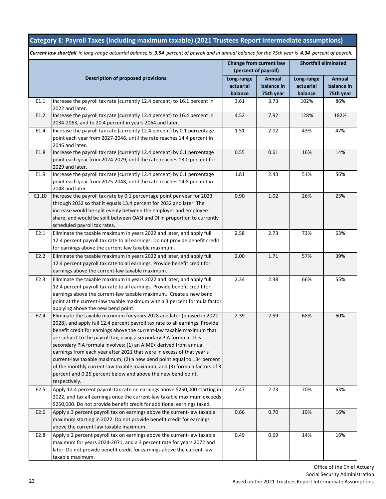### **Category E: Payroll Taxes (including maximum taxable) (2021 Trustees Report intermediate assumptions)**

|       |                                                                                                                                                                                                                                                                                                                                                                                                                                                                                                                                                                                                                                                                                              | Change from current law<br>(percent of payroll) |                                          | <b>Shortfall eliminated</b>        |                                   |
|-------|----------------------------------------------------------------------------------------------------------------------------------------------------------------------------------------------------------------------------------------------------------------------------------------------------------------------------------------------------------------------------------------------------------------------------------------------------------------------------------------------------------------------------------------------------------------------------------------------------------------------------------------------------------------------------------------------|-------------------------------------------------|------------------------------------------|------------------------------------|-----------------------------------|
|       | <b>Description of proposed provisions</b>                                                                                                                                                                                                                                                                                                                                                                                                                                                                                                                                                                                                                                                    | Long-range<br>actuarial<br>balance              | <b>Annual</b><br>balance in<br>75th year | Long-range<br>actuarial<br>balance | Annual<br>balance in<br>75th year |
| E1.1  | Increase the payroll tax rate (currently 12.4 percent) to 16.1 percent in<br>2022 and later.                                                                                                                                                                                                                                                                                                                                                                                                                                                                                                                                                                                                 | 3.61                                            | 3.73                                     | 102%                               | 86%                               |
| E1.2  | Increase the payroll tax rate (currently 12.4 percent) to 16.4 percent in<br>2034-2063, and to 20.4 percent in years 2064 and later.                                                                                                                                                                                                                                                                                                                                                                                                                                                                                                                                                         | 4.52                                            | 7.92                                     | 128%                               | 182%                              |
| E1.4  | Increase the payroll tax rate (currently 12.4 percent) by 0.1 percentage<br>point each year from 2027-2046, until the rate reaches 14.4 percent in<br>2046 and later.                                                                                                                                                                                                                                                                                                                                                                                                                                                                                                                        | 1.51                                            | 2.02                                     | 43%                                | 47%                               |
| E1.8  | Increase the payroll tax rate (currently 12.4 percent) by 0.1 percentage<br>point each year from 2024-2029, until the rate reaches 13.0 percent for<br>2029 and later.                                                                                                                                                                                                                                                                                                                                                                                                                                                                                                                       | 0.55                                            | 0.61                                     | 16%                                | 14%                               |
| E1.9  | Increase the payroll tax rate (currently 12.4 percent) by 0.1 percentage<br>point each year from 2025-2048, until the rate reaches 14.8 percent in<br>2048 and later.                                                                                                                                                                                                                                                                                                                                                                                                                                                                                                                        | 1.81                                            | 2.43                                     | 51%                                | 56%                               |
| E1.10 | Increase the payroll tax rate by 0.1 percentage point per year for 2023<br>through 2032 so that it equals 13.4 percent for 2032 and later. The<br>increase would be split evenly between the employer and employee<br>share, and would be split between OASI and DI in proportion to currently<br>scheduled payroll tax rates.                                                                                                                                                                                                                                                                                                                                                               | 0.90                                            | 1.02                                     | 26%                                | 23%                               |
| E2.1  | Eliminate the taxable maximum in years 2022 and later, and apply full<br>12.4 percent payroll tax rate to all earnings. Do not provide benefit credit<br>for earnings above the current-law taxable maximum.                                                                                                                                                                                                                                                                                                                                                                                                                                                                                 | 2.58                                            | 2.73                                     | 73%                                | 63%                               |
| E2.2  | Eliminate the taxable maximum in years 2022 and later, and apply full<br>12.4 percent payroll tax rate to all earnings. Provide benefit credit for<br>earnings above the current-law taxable maximum.                                                                                                                                                                                                                                                                                                                                                                                                                                                                                        | 2.00                                            | 1.71                                     | 57%                                | 39%                               |
| E2.3  | Eliminate the taxable maximum in years 2022 and later, and apply full<br>12.4 percent payroll tax rate to all earnings. Provide benefit credit for<br>earnings above the current-law taxable maximum. Create a new bend<br>point at the current-law taxable maximum with a 3 percent formula factor<br>applying above the new bend point.                                                                                                                                                                                                                                                                                                                                                    | 2.34                                            | 2.38                                     | 66%                                | 55%                               |
| E2.4  | Eliminate the taxable maximum for years 2028 and later (phased in 2022-<br>2028), and apply full 12.4 percent payroll tax rate to all earnings. Provide<br>benefit credit for earnings above the current-law taxable maximum that<br>are subject to the payroll tax, using a secondary PIA formula. This<br>secondary PIA formula involves: (1) an AIME+ derived from annual<br>earnings from each year after 2021 that were in excess of that year's<br>current-law taxable maximum; (2) a new bend point equal to 134 percent<br>of the monthly current-law taxable maximum; and (3) formula factors of 3<br>percent and 0.25 percent below and above the new bend point,<br>respectively. | 2.39                                            | 2.59                                     | 68%                                | 60%                               |
| E2.5  | Apply 12.4 percent payroll tax rate on earnings above \$250,000 starting in<br>2022, and tax all earnings once the current-law taxable maximum exceeds<br>\$250,000. Do not provide benefit credit for additional earnings taxed.                                                                                                                                                                                                                                                                                                                                                                                                                                                            | 2.47                                            | 2.73                                     | 70%                                | 63%                               |
| E2.6  | Apply a 3 percent payroll tax on earnings above the current-law taxable<br>maximum starting in 2022. Do not provide benefit credit for earnings<br>above the current-law taxable maximum.                                                                                                                                                                                                                                                                                                                                                                                                                                                                                                    | 0.66                                            | 0.70                                     | 19%                                | 16%                               |
| E2.8  | Apply a 2 percent payroll tax on earnings above the current-law taxable<br>maximum for years 2024-2071, and a 3 percent rate for years 2072 and<br>later. Do not provide benefit credit for earnings above the current-law<br>taxable maximum.                                                                                                                                                                                                                                                                                                                                                                                                                                               | 0.49                                            | 0.69                                     | 14%                                | 16%                               |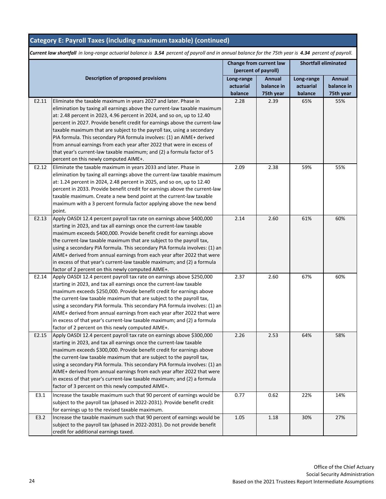### **Category E: Payroll Taxes (including maximum taxable) (continued)**

|       |                                                                                                                                             | Change from current law<br>(percent of payroll) |               | <b>Shortfall eliminated</b> |            |
|-------|---------------------------------------------------------------------------------------------------------------------------------------------|-------------------------------------------------|---------------|-----------------------------|------------|
|       | <b>Description of proposed provisions</b>                                                                                                   | Long-range                                      | <b>Annual</b> | Long-range                  | Annual     |
|       |                                                                                                                                             | actuarial                                       | balance in    | actuarial                   | balance in |
|       |                                                                                                                                             | balance                                         | 75th year     | balance                     | 75th year  |
| E2.11 | Eliminate the taxable maximum in years 2027 and later. Phase in                                                                             | 2.28                                            | 2.39          | 65%                         | 55%        |
|       | elimination by taxing all earnings above the current-law taxable maximum                                                                    |                                                 |               |                             |            |
|       | at: 2.48 percent in 2023, 4.96 percent in 2024, and so on, up to 12.40                                                                      |                                                 |               |                             |            |
|       | percent in 2027. Provide benefit credit for earnings above the current-law                                                                  |                                                 |               |                             |            |
|       | taxable maximum that are subject to the payroll tax, using a secondary                                                                      |                                                 |               |                             |            |
|       | PIA formula. This secondary PIA formula involves: (1) an AIME+ derived                                                                      |                                                 |               |                             |            |
|       | from annual earnings from each year after 2022 that were in excess of                                                                       |                                                 |               |                             |            |
|       | that year's current-law taxable maximum; and (2) a formula factor of 5                                                                      |                                                 |               |                             |            |
|       | percent on this newly computed AIME+.                                                                                                       |                                                 |               |                             |            |
| E2.12 | Eliminate the taxable maximum in years 2033 and later. Phase in                                                                             | 2.09                                            | 2.38          | 59%                         | 55%        |
|       | elimination by taxing all earnings above the current-law taxable maximum                                                                    |                                                 |               |                             |            |
|       | at: 1.24 percent in 2024, 2.48 percent in 2025, and so on, up to 12.40                                                                      |                                                 |               |                             |            |
|       | percent in 2033. Provide benefit credit for earnings above the current-law                                                                  |                                                 |               |                             |            |
|       | taxable maximum. Create a new bend point at the current-law taxable<br>maximum with a 3 percent formula factor applying above the new bend  |                                                 |               |                             |            |
|       | point.                                                                                                                                      |                                                 |               |                             |            |
| E2.13 | Apply OASDI 12.4 percent payroll tax rate on earnings above \$400,000                                                                       | 2.14                                            | 2.60          | 61%                         | 60%        |
|       | starting in 2023, and tax all earnings once the current-law taxable                                                                         |                                                 |               |                             |            |
|       | maximum exceeds \$400,000. Provide benefit credit for earnings above                                                                        |                                                 |               |                             |            |
|       | the current-law taxable maximum that are subject to the payroll tax,                                                                        |                                                 |               |                             |            |
|       | using a secondary PIA formula. This secondary PIA formula involves: (1) an                                                                  |                                                 |               |                             |            |
|       | AIME+ derived from annual earnings from each year after 2022 that were                                                                      |                                                 |               |                             |            |
|       | in excess of that year's current-law taxable maximum; and (2) a formula                                                                     |                                                 |               |                             |            |
|       | factor of 2 percent on this newly computed AIME+.                                                                                           |                                                 |               |                             |            |
| E2.14 | Apply OASDI 12.4 percent payroll tax rate on earnings above \$250,000                                                                       | 2.37                                            | 2.60          | 67%                         | 60%        |
|       | starting in 2023, and tax all earnings once the current-law taxable                                                                         |                                                 |               |                             |            |
|       | maximum exceeds \$250,000. Provide benefit credit for earnings above                                                                        |                                                 |               |                             |            |
|       | the current-law taxable maximum that are subject to the payroll tax,                                                                        |                                                 |               |                             |            |
|       | using a secondary PIA formula. This secondary PIA formula involves: (1) an                                                                  |                                                 |               |                             |            |
|       | AIME+ derived from annual earnings from each year after 2022 that were                                                                      |                                                 |               |                             |            |
|       | in excess of that year's current-law taxable maximum; and (2) a formula                                                                     |                                                 |               |                             |            |
|       | factor of 2 percent on this newly computed AIME+.                                                                                           |                                                 |               |                             |            |
| E2.15 | Apply OASDI 12.4 percent payroll tax rate on earnings above \$300,000                                                                       | 2.26                                            | 2.53          | 64%                         | 58%        |
|       | starting in 2023, and tax all earnings once the current-law taxable<br>maximum exceeds \$300,000. Provide benefit credit for earnings above |                                                 |               |                             |            |
|       | the current-law taxable maximum that are subject to the payroll tax,                                                                        |                                                 |               |                             |            |
|       | using a secondary PIA formula. This secondary PIA formula involves: (1) an                                                                  |                                                 |               |                             |            |
|       | AIME+ derived from annual earnings from each year after 2022 that were                                                                      |                                                 |               |                             |            |
|       | in excess of that year's current-law taxable maximum; and (2) a formula                                                                     |                                                 |               |                             |            |
|       | factor of 3 percent on this newly computed AIME+.                                                                                           |                                                 |               |                             |            |
| E3.1  | Increase the taxable maximum such that 90 percent of earnings would be                                                                      | 0.77                                            | 0.62          | 22%                         | 14%        |
|       | subject to the payroll tax (phased in 2022-2031). Provide benefit credit                                                                    |                                                 |               |                             |            |
|       | for earnings up to the revised taxable maximum.                                                                                             |                                                 |               |                             |            |
| E3.2  | Increase the taxable maximum such that 90 percent of earnings would be                                                                      | 1.05                                            | 1.18          | 30%                         | 27%        |
|       | subject to the payroll tax (phased in 2022-2031). Do not provide benefit                                                                    |                                                 |               |                             |            |
|       | credit for additional earnings taxed.                                                                                                       |                                                 |               |                             |            |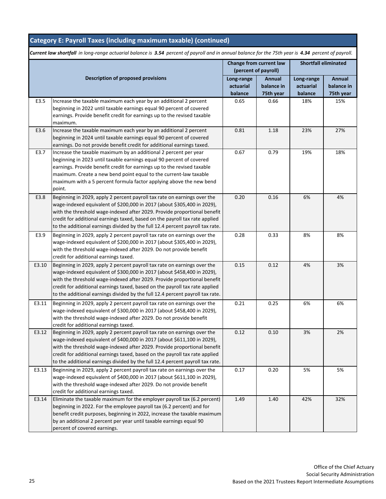### **Category E: Payroll Taxes (including maximum taxable) (continued)**

|       |                                                                                                                                                     | Change from current law<br>(percent of payroll) |               | Shortfall eliminated |               |
|-------|-----------------------------------------------------------------------------------------------------------------------------------------------------|-------------------------------------------------|---------------|----------------------|---------------|
|       | <b>Description of proposed provisions</b>                                                                                                           | Long-range                                      | <b>Annual</b> | Long-range           | <b>Annual</b> |
|       |                                                                                                                                                     | actuarial                                       | balance in    | actuarial            | balance in    |
|       |                                                                                                                                                     | balance                                         | 75th year     | balance              | 75th year     |
| E3.5  | Increase the taxable maximum each year by an additional 2 percent                                                                                   | 0.65                                            | 0.66          | 18%                  | 15%           |
|       | beginning in 2022 until taxable earnings equal 90 percent of covered                                                                                |                                                 |               |                      |               |
|       | earnings. Provide benefit credit for earnings up to the revised taxable                                                                             |                                                 |               |                      |               |
|       | maximum.                                                                                                                                            |                                                 |               |                      |               |
| E3.6  | Increase the taxable maximum each year by an additional 2 percent                                                                                   | 0.81                                            | 1.18          | 23%                  | 27%           |
|       | beginning in 2024 until taxable earnings equal 90 percent of covered                                                                                |                                                 |               |                      |               |
|       | earnings. Do not provide benefit credit for additional earnings taxed.                                                                              |                                                 |               |                      |               |
| E3.7  | Increase the taxable maximum by an additional 2 percent per year                                                                                    | 0.67                                            | 0.79          | 19%                  | 18%           |
|       | beginning in 2023 until taxable earnings equal 90 percent of covered                                                                                |                                                 |               |                      |               |
|       | earnings. Provide benefit credit for earnings up to the revised taxable                                                                             |                                                 |               |                      |               |
|       | maximum. Create a new bend point equal to the current-law taxable                                                                                   |                                                 |               |                      |               |
|       | maximum with a 5 percent formula factor applying above the new bend                                                                                 |                                                 |               |                      |               |
|       | point.                                                                                                                                              |                                                 |               |                      |               |
| E3.8  | Beginning in 2029, apply 2 percent payroll tax rate on earnings over the                                                                            | 0.20                                            | 0.16          | 6%                   | 4%            |
|       | wage-indexed equivalent of \$200,000 in 2017 (about \$305,400 in 2029),                                                                             |                                                 |               |                      |               |
|       | with the threshold wage-indexed after 2029. Provide proportional benefit                                                                            |                                                 |               |                      |               |
|       | credit for additional earnings taxed, based on the payroll tax rate applied                                                                         |                                                 |               |                      |               |
|       | to the additional earnings divided by the full 12.4 percent payroll tax rate.                                                                       |                                                 |               |                      |               |
| E3.9  | Beginning in 2029, apply 2 percent payroll tax rate on earnings over the                                                                            | 0.28                                            | 0.33          | 8%                   | 8%            |
|       | wage-indexed equivalent of \$200,000 in 2017 (about \$305,400 in 2029),                                                                             |                                                 |               |                      |               |
|       | with the threshold wage-indexed after 2029. Do not provide benefit                                                                                  |                                                 |               |                      |               |
|       | credit for additional earnings taxed.                                                                                                               |                                                 |               |                      |               |
| E3.10 | Beginning in 2029, apply 2 percent payroll tax rate on earnings over the                                                                            | 0.15                                            | 0.12          | 4%                   | 3%            |
|       | wage-indexed equivalent of \$300,000 in 2017 (about \$458,400 in 2029),                                                                             |                                                 |               |                      |               |
|       | with the threshold wage-indexed after 2029. Provide proportional benefit                                                                            |                                                 |               |                      |               |
|       | credit for additional earnings taxed, based on the payroll tax rate applied                                                                         |                                                 |               |                      |               |
|       | to the additional earnings divided by the full 12.4 percent payroll tax rate.                                                                       |                                                 |               |                      |               |
| E3.11 | Beginning in 2029, apply 2 percent payroll tax rate on earnings over the                                                                            | 0.21                                            | 0.25          | 6%                   | 6%            |
|       | wage-indexed equivalent of \$300,000 in 2017 (about \$458,400 in 2029),                                                                             |                                                 |               |                      |               |
|       | with the threshold wage-indexed after 2029. Do not provide benefit                                                                                  |                                                 |               |                      |               |
|       | credit for additional earnings taxed.                                                                                                               |                                                 |               |                      |               |
| E3.12 | Beginning in 2029, apply 2 percent payroll tax rate on earnings over the                                                                            | 0.12                                            | 0.10          | 3%                   | 2%            |
|       | wage-indexed equivalent of \$400,000 in 2017 (about \$611,100 in 2029),<br>with the threshold wage-indexed after 2029. Provide proportional benefit |                                                 |               |                      |               |
|       | credit for additional earnings taxed, based on the payroll tax rate applied                                                                         |                                                 |               |                      |               |
|       | to the additional earnings divided by the full 12.4 percent payroll tax rate.                                                                       |                                                 |               |                      |               |
| E3.13 | Beginning in 2029, apply 2 percent payroll tax rate on earnings over the                                                                            | 0.17                                            | 0.20          | 5%                   | 5%            |
|       | wage-indexed equivalent of \$400,000 in 2017 (about \$611,100 in 2029),                                                                             |                                                 |               |                      |               |
|       | with the threshold wage-indexed after 2029. Do not provide benefit                                                                                  |                                                 |               |                      |               |
|       | credit for additional earnings taxed.                                                                                                               |                                                 |               |                      |               |
| E3.14 | Eliminate the taxable maximum for the employer payroll tax (6.2 percent)                                                                            | 1.49                                            | 1.40          | 42%                  | 32%           |
|       | beginning in 2022. For the employee payroll tax (6.2 percent) and for                                                                               |                                                 |               |                      |               |
|       | benefit credit purposes, beginning in 2022, increase the taxable maximum                                                                            |                                                 |               |                      |               |
|       | by an additional 2 percent per year until taxable earnings equal 90                                                                                 |                                                 |               |                      |               |
|       | percent of covered earnings.                                                                                                                        |                                                 |               |                      |               |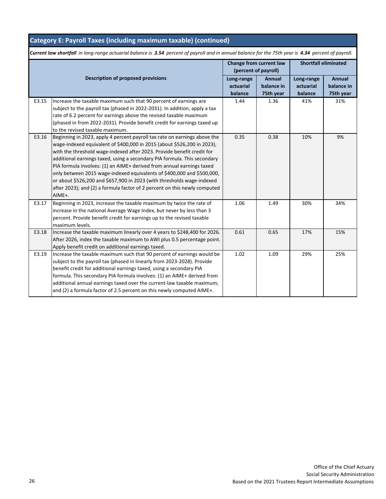### **Category E: Payroll Taxes (including maximum taxable) (continued)**

|       |                                                                            | Change from current law |                      | <b>Shortfall eliminated</b> |               |
|-------|----------------------------------------------------------------------------|-------------------------|----------------------|-----------------------------|---------------|
|       |                                                                            |                         | (percent of payroll) |                             |               |
|       | <b>Description of proposed provisions</b>                                  | Long-range              | <b>Annual</b>        | Long-range                  | <b>Annual</b> |
|       |                                                                            | actuarial               | balance in           | actuarial                   | balance in    |
|       |                                                                            | balance                 | 75th year            | balance                     | 75th year     |
| E3.15 | Increase the taxable maximum such that 90 percent of earnings are          | 1.44                    | 1.36                 | 41%                         | 31%           |
|       | subject to the payroll tax (phased in 2022-2031). In addition, apply a tax |                         |                      |                             |               |
|       | rate of 6.2 percent for earnings above the revised taxable maximum         |                         |                      |                             |               |
|       | (phased in from 2022-2031). Provide benefit credit for earnings taxed up   |                         |                      |                             |               |
|       | to the revised taxable maximum.                                            |                         |                      |                             |               |
| E3.16 | Beginning in 2023, apply 4 percent payroll tax rate on earnings above the  | 0.35                    | 0.38                 | 10%                         | 9%            |
|       | wage-indexed equivalent of \$400,000 in 2015 (about \$526,200 in 2023),    |                         |                      |                             |               |
|       | with the threshold wage-indexed after 2023. Provide benefit credit for     |                         |                      |                             |               |
|       | additional earnings taxed, using a secondary PIA formula. This secondary   |                         |                      |                             |               |
|       | PIA formula involves: (1) an AIME+ derived from annual earnings taxed      |                         |                      |                             |               |
|       | only between 2015 wage-indexed equivalents of \$400,000 and \$500,000,     |                         |                      |                             |               |
|       | or about \$526,200 and \$657,900 in 2023 (with thresholds wage-indexed     |                         |                      |                             |               |
|       | after 2023); and (2) a formula factor of 2 percent on this newly computed  |                         |                      |                             |               |
|       | AIME+.                                                                     |                         |                      |                             |               |
| E3.17 | Beginning in 2023, increase the taxable maximum by twice the rate of       | 1.06                    | 1.49                 | 30%                         | 34%           |
|       | increase in the national Average Wage Index, but never by less than 3      |                         |                      |                             |               |
|       | percent. Provide benefit credit for earnings up to the revised taxable     |                         |                      |                             |               |
|       | maximum levels.                                                            |                         |                      |                             |               |
| E3.18 | Increase the taxable maximum linearly over 4 years to \$248,400 for 2026.  | 0.61                    | 0.65                 | 17%                         | 15%           |
|       | After 2026, index the taxable maximum to AWI plus 0.5 percentage point.    |                         |                      |                             |               |
|       | Apply benefit credit on additional earnings taxed.                         |                         |                      |                             |               |
| E3.19 | Increase the taxable maximum such that 90 percent of earnings would be     | 1.02                    | 1.09                 | 29%                         | 25%           |
|       | subject to the payroll tax (phased in linearly from 2023-2028). Provide    |                         |                      |                             |               |
|       | benefit credit for additional earnings taxed, using a secondary PIA        |                         |                      |                             |               |
|       | formula. This secondary PIA formula involves: (1) an AIME+ derived from    |                         |                      |                             |               |
|       | additional annual earnings taxed over the current-law taxable maximum;     |                         |                      |                             |               |
|       | and (2) a formula factor of 2.5 percent on this newly computed AIME+.      |                         |                      |                             |               |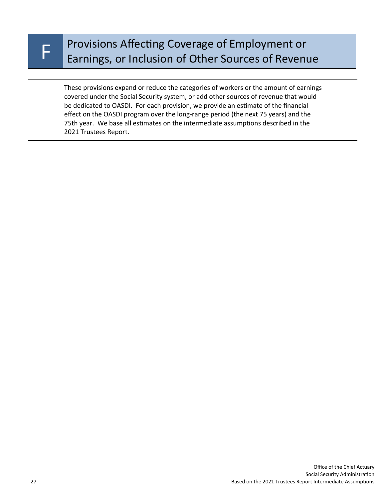# Provisions Affecting Coverage of Employment or<br>F Earnings, or Inclusion of Other Sources of Revenue

These provisions expand or reduce the categories of workers or the amount of earnings covered under the Social Security system, or add other sources of revenue that would be dedicated to OASDI. For each provision, we provide an estimate of the financial effect on the OASDI program over the long-range period (the next 75 years) and the 75th year. We base all estimates on the intermediate assumptions described in the 2021 Trustees Report.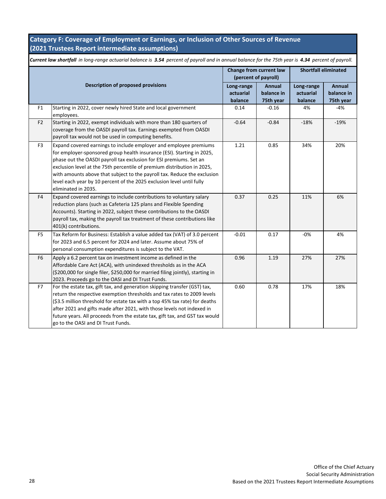### **Category F: Coverage of Employment or Earnings, or Inclusion of Other Sources of Revenue (2021 Trustees Report intermediate assumptions)**

|                | Current law shortfall in long-range actuarial balance is 3.54 percent of payroll and in annual balance for the 75th year is 4.34 percent of payroll.                                                                                                                                                                                                                                                                                                                     |                                                 |                                          |                                    |                                   |
|----------------|--------------------------------------------------------------------------------------------------------------------------------------------------------------------------------------------------------------------------------------------------------------------------------------------------------------------------------------------------------------------------------------------------------------------------------------------------------------------------|-------------------------------------------------|------------------------------------------|------------------------------------|-----------------------------------|
|                |                                                                                                                                                                                                                                                                                                                                                                                                                                                                          | Change from current law<br>(percent of payroll) |                                          | <b>Shortfall eliminated</b>        |                                   |
|                | Description of proposed provisions                                                                                                                                                                                                                                                                                                                                                                                                                                       | Long-range<br>actuarial<br>balance              | <b>Annual</b><br>balance in<br>75th year | Long-range<br>actuarial<br>balance | Annual<br>balance in<br>75th year |
| F <sub>1</sub> | Starting in 2022, cover newly hired State and local government<br>employees.                                                                                                                                                                                                                                                                                                                                                                                             | 0.14                                            | $-0.16$                                  | 4%                                 | $-4%$                             |
| F <sub>2</sub> | Starting in 2022, exempt individuals with more than 180 quarters of<br>coverage from the OASDI payroll tax. Earnings exempted from OASDI<br>payroll tax would not be used in computing benefits.                                                                                                                                                                                                                                                                         | $-0.64$                                         | $-0.84$                                  | $-18%$                             | $-19%$                            |
| F <sub>3</sub> | Expand covered earnings to include employer and employee premiums<br>for employer-sponsored group health insurance (ESI). Starting in 2025,<br>phase out the OASDI payroll tax exclusion for ESI premiums. Set an<br>exclusion level at the 75th percentile of premium distribution in 2025,<br>with amounts above that subject to the payroll tax. Reduce the exclusion<br>level each year by 10 percent of the 2025 exclusion level until fully<br>eliminated in 2035. | 1.21                                            | 0.85                                     | 34%                                | 20%                               |
| F4             | Expand covered earnings to include contributions to voluntary salary<br>reduction plans (such as Cafeteria 125 plans and Flexible Spending<br>Accounts). Starting in 2022, subject these contributions to the OASDI<br>payroll tax, making the payroll tax treatment of these contributions like<br>401(k) contributions.                                                                                                                                                | 0.37                                            | 0.25                                     | 11%                                | 6%                                |
| F <sub>5</sub> | Tax Reform for Business: Establish a value added tax (VAT) of 3.0 percent<br>for 2023 and 6.5 percent for 2024 and later. Assume about 75% of<br>personal consumption expenditures is subject to the VAT.                                                                                                                                                                                                                                                                | $-0.01$                                         | 0.17                                     | $-0%$                              | 4%                                |
| F <sub>6</sub> | Apply a 6.2 percent tax on investment income as defined in the<br>Affordable Care Act (ACA), with unindexed thresholds as in the ACA<br>(\$200,000 for single filer, \$250,000 for married filing jointly), starting in<br>2023. Proceeds go to the OASI and DI Trust Funds.                                                                                                                                                                                             | 0.96                                            | 1.19                                     | 27%                                | 27%                               |
| F7             | For the estate tax, gift tax, and generation skipping transfer (GST) tax,<br>return the respective exemption thresholds and tax rates to 2009 levels<br>(\$3.5 million threshold for estate tax with a top 45% tax rate) for deaths<br>after 2021 and gifts made after 2021, with those levels not indexed in<br>future years. All proceeds from the estate tax, gift tax, and GST tax would<br>go to the OASI and DI Trust Funds.                                       | 0.60                                            | 0.78                                     | 17%                                | 18%                               |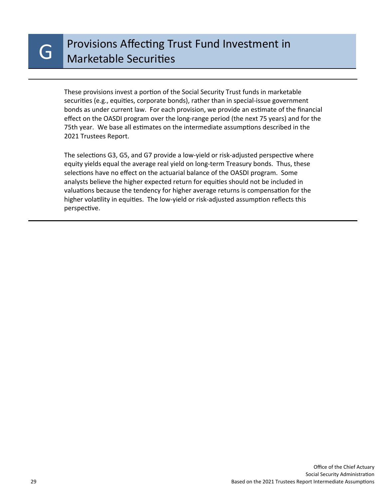These provisions invest a portion of the Social Security Trust funds in marketable securities (e.g., equities, corporate bonds), rather than in special-issue government bonds as under current law. For each provision, we provide an estimate of the financial effect on the OASDI program over the long-range period (the next 75 years) and for the 75th year. We base all estimates on the intermediate assumptions described in the 2021 Trustees Report.

The selections G3, G5, and G7 provide a low-yield or risk-adjusted perspective where equity yields equal the average real yield on long-term Treasury bonds. Thus, these selections have no effect on the actuarial balance of the OASDI program. Some analysts believe the higher expected return for equities should not be included in valuations because the tendency for higher average returns is compensation for the higher volatility in equities. The low-yield or risk-adjusted assumption reflects this perspective.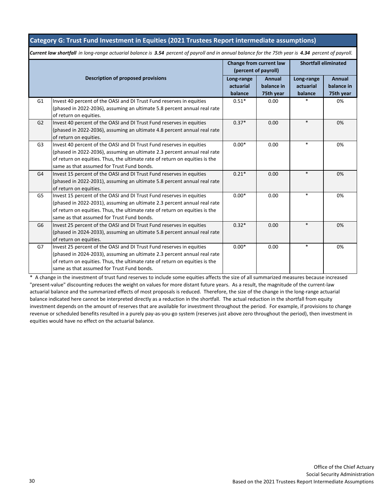#### **Category G: Trust Fund Investment in Equities (2021 Trustees Report intermediate assumptions)**

*Current law shortfall in long-range actuarial balance is 3.54 percent of payroll and in annual balance for the 75th year is 4.34 percent of payroll.*

|                |                                                                                                                                                                                                                                                                               | (percent of payroll)               | Change from current law     | <b>Shortfall eliminated</b> |                      |
|----------------|-------------------------------------------------------------------------------------------------------------------------------------------------------------------------------------------------------------------------------------------------------------------------------|------------------------------------|-----------------------------|-----------------------------|----------------------|
|                | Description of proposed provisions                                                                                                                                                                                                                                            | Long-range<br>actuarial<br>balance | <b>Annual</b><br>balance in | Long-range<br>actuarial     | Annual<br>balance in |
| G <sub>1</sub> | Invest 40 percent of the OASI and DI Trust Fund reserves in equities<br>(phased in 2022-2036), assuming an ultimate 5.8 percent annual real rate<br>of return on equities.                                                                                                    | $0.51*$                            | 75th year<br>0.00           | balance                     | 75th year<br>0%      |
| G2             | Invest 40 percent of the OASI and DI Trust Fund reserves in equities<br>(phased in 2022-2036), assuming an ultimate 4.8 percent annual real rate<br>of return on equities.                                                                                                    | $0.37*$                            | 0.00                        | $\ast$                      | 0%                   |
| G <sub>3</sub> | Invest 40 percent of the OASI and DI Trust Fund reserves in equities<br>(phased in 2022-2036), assuming an ultimate 2.3 percent annual real rate<br>of return on equities. Thus, the ultimate rate of return on equities is the<br>same as that assumed for Trust Fund bonds. | $0.00*$                            | 0.00                        | $\ast$                      | 0%                   |
| G4             | Invest 15 percent of the OASI and DI Trust Fund reserves in equities<br>(phased in 2022-2031), assuming an ultimate 5.8 percent annual real rate<br>of return on equities.                                                                                                    | $0.21*$                            | 0.00                        | $\ast$                      | 0%                   |
| G5             | Invest 15 percent of the OASI and DI Trust Fund reserves in equities<br>(phased in 2022-2031), assuming an ultimate 2.3 percent annual real rate<br>of return on equities. Thus, the ultimate rate of return on equities is the<br>same as that assumed for Trust Fund bonds. | $0.00*$                            | 0.00                        | $\ast$                      | 0%                   |
| G <sub>6</sub> | Invest 25 percent of the OASI and DI Trust Fund reserves in equities<br>(phased in 2024-2033), assuming an ultimate 5.8 percent annual real rate<br>of return on equities.                                                                                                    | $0.32*$                            | 0.00                        | $\ast$                      | 0%                   |
| G7             | Invest 25 percent of the OASI and DI Trust Fund reserves in equities<br>(phased in 2024-2033), assuming an ultimate 2.3 percent annual real rate<br>of return on equities. Thus, the ultimate rate of return on equities is the<br>same as that assumed for Trust Fund bonds. | $0.00*$                            | 0.00                        | $\ast$                      | 0%                   |

\* A change in the investment of trust fund reserves to include some equities affects the size of all summarized measures because increased "present-value" discounting reduces the weight on values for more distant future years. As a result, the magnitude of the current-law actuarial balance and the summarized effects of most proposals is reduced. Therefore, the size of the change in the long-range actuarial balance indicated here cannot be interpreted directly as a reduction in the shortfall. The actual reduction in the shortfall from equity investment depends on the amount of reserves that are available for investment throughout the period. For example, if provisions to change revenue or scheduled benefits resulted in a purely pay-as-you-go system (reserves just above zero throughout the period), then investment in equities would have no effect on the actuarial balance.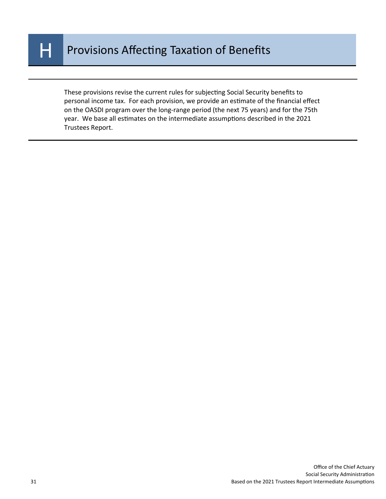

These provisions revise the current rules for subjecting Social Security benefits to personal income tax. For each provision, we provide an estimate of the financial effect on the OASDI program over the long-range period (the next 75 years) and for the 75th year. We base all estimates on the intermediate assumptions described in the 2021 Trustees Report.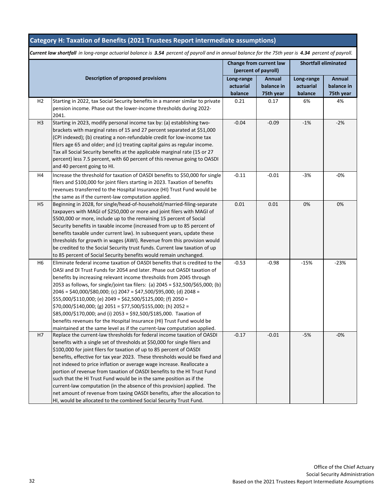## **Category H: Taxation of Benefits (2021 Trustees Report intermediate assumptions)**

|                |                                                                                                                                                                                                                                                                                                                                                                                                                                                                                                                                                                                                                                                                                                                                                                      | Change from current law<br>(percent of payroll) |                                   | <b>Shortfall eliminated</b>        |                                   |
|----------------|----------------------------------------------------------------------------------------------------------------------------------------------------------------------------------------------------------------------------------------------------------------------------------------------------------------------------------------------------------------------------------------------------------------------------------------------------------------------------------------------------------------------------------------------------------------------------------------------------------------------------------------------------------------------------------------------------------------------------------------------------------------------|-------------------------------------------------|-----------------------------------|------------------------------------|-----------------------------------|
|                | <b>Description of proposed provisions</b>                                                                                                                                                                                                                                                                                                                                                                                                                                                                                                                                                                                                                                                                                                                            | Long-range<br>actuarial<br>balance              | Annual<br>balance in<br>75th year | Long-range<br>actuarial<br>balance | Annual<br>balance in<br>75th year |
| H <sub>2</sub> | Starting in 2022, tax Social Security benefits in a manner similar to private<br>pension income. Phase out the lower-income thresholds during 2022-<br>2041.                                                                                                                                                                                                                                                                                                                                                                                                                                                                                                                                                                                                         | 0.21                                            | 0.17                              | 6%                                 | 4%                                |
| H <sub>3</sub> | Starting in 2023, modify personal income tax by: (a) establishing two-<br>brackets with marginal rates of 15 and 27 percent separated at \$51,000<br>(CPI indexed); (b) creating a non-refundable credit for low-income tax<br>filers age 65 and older; and (c) treating capital gains as regular income.<br>Tax all Social Security benefits at the applicable marginal rate (15 or 27<br>percent) less 7.5 percent, with 60 percent of this revenue going to OASDI<br>and 40 percent going to HI.                                                                                                                                                                                                                                                                  | $-0.04$                                         | $-0.09$                           | $-1%$                              | $-2%$                             |
| H4             | Increase the threshold for taxation of OASDI benefits to \$50,000 for single<br>filers and \$100,000 for joint filers starting in 2023. Taxation of benefits<br>revenues transferred to the Hospital Insurance (HI) Trust Fund would be<br>the same as if the current-law computation applied.                                                                                                                                                                                                                                                                                                                                                                                                                                                                       | $-0.11$                                         | $-0.01$                           | $-3%$                              | $-0%$                             |
| H <sub>5</sub> | Beginning in 2028, for single/head-of-household/married-filing-separate<br>taxpayers with MAGI of \$250,000 or more and joint filers with MAGI of<br>\$500,000 or more, include up to the remaining 15 percent of Social<br>Security benefits in taxable income (increased from up to 85 percent of<br>benefits taxable under current law). In subsequent years, update these<br>thresholds for growth in wages (AWI). Revenue from this provision would<br>be credited to the Social Security trust funds. Current law taxation of up<br>to 85 percent of Social Security benefits would remain unchanged.                                                                                                                                                          | 0.01                                            | 0.01                              | 0%                                 | 0%                                |
| H6             | Eliminate federal income taxation of OASDI benefits that is credited to the<br>OASI and DI Trust Funds for 2054 and later. Phase out OASDI taxation of<br>benefits by increasing relevant income thresholds from 2045 through<br>2053 as follows, for single/joint tax filers: (a) 2045 = \$32,500/\$65,000; (b)<br>2046 = \$40,000/\$80,000; (c) 2047 = \$47,500/\$95,000; (d) 2048 =<br>\$55,000/\$110,000; (e) 2049 = \$62,500/\$125,000; (f) 2050 =<br>\$70,000/\$140,000; (g) 2051 = \$77,500/\$155,000; (h) 2052 =<br>\$85,000/\$170,000; and (i) 2053 = \$92,500/\$185,000. Taxation of<br>benefits revenues for the Hospital Insurance (HI) Trust Fund would be<br>maintained at the same level as if the current-law computation applied.                   | $-0.53$                                         | $-0.98$                           | $-15%$                             | $-23%$                            |
| H7             | Replace the current-law thresholds for federal income taxation of OASDI<br>benefits with a single set of thresholds at \$50,000 for single filers and<br>\$100,000 for joint filers for taxation of up to 85 percent of OASDI<br>benefits, effective for tax year 2023. These thresholds would be fixed and<br>not indexed to price inflation or average wage increase. Reallocate a<br>portion of revenue from taxation of OASDI benefits to the HI Trust Fund<br>such that the HI Trust Fund would be in the same position as if the<br>current-law computation (in the absence of this provision) applied. The<br>net amount of revenue from taxing OASDI benefits, after the allocation to<br>HI, would be allocated to the combined Social Security Trust Fund. | $-0.17$                                         | $-0.01$                           | $-5%$                              | $-0\%$                            |